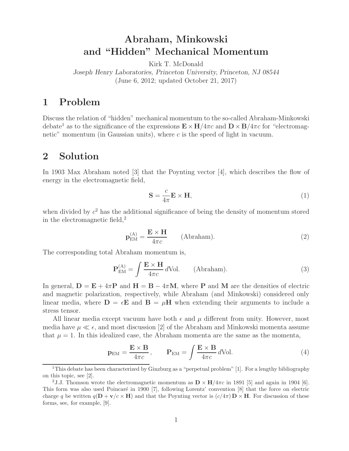# **Abraham, Minkowski and "Hidden" Mechanical Momentum**

Kirk T. McDonald

*Joseph Henry Laboratories, Princeton University, Princeton, NJ 08544* (June 6, 2012; updated October 21, 2017)

## **1 Problem**

Discuss the relation of "hidden" mechanical momentum to the so-called Abraham-Minkowski debate<sup>1</sup> as to the significance of the expressions  $\mathbf{E} \times \mathbf{H}/4\pi c$  and  $\mathbf{D} \times \mathbf{B}/4\pi c$  for "electromagnetic" momentum (in Gaussian units), where  $c$  is the speed of light in vacuum.

## **2 Solution**

In 1903 Max Abraham noted [3] that the Poynting vector [4], which describes the flow of energy in the electromagnetic field,

$$
\mathbf{S} = \frac{c}{4\pi} \mathbf{E} \times \mathbf{H},\tag{1}
$$

when divided by  $c^2$  has the additional significance of being the density of momentum stored in the electromagnetic field,<sup>2</sup>

$$
\mathbf{p}_{\text{EM}}^{(\text{A})} = \frac{\mathbf{E} \times \mathbf{H}}{4\pi c} \qquad \text{(Abraham)}.
$$

The corresponding total Abraham momentum is,

$$
\mathbf{P}_{\text{EM}}^{(\text{A})} = \int \frac{\mathbf{E} \times \mathbf{H}}{4\pi c} d\text{Vol.} \qquad \text{(Abraham).} \tag{3}
$$

In general,  $\mathbf{D} = \mathbf{E} + 4\pi \mathbf{P}$  and  $\mathbf{H} = \mathbf{B} - 4\pi \mathbf{M}$ , where **P** and **M** are the densities of electric and magnetic polarization, respectively, while Abraham (and Minkowski) considered only linear media, where  $\mathbf{D} = \epsilon \mathbf{E}$  and  $\mathbf{B} = \mu \mathbf{H}$  when extending their arguments to include a stress tensor.

All linear media except vacuum have both  $\epsilon$  and  $\mu$  different from unity. However, most media have  $\mu \ll \epsilon$ , and most discussion [2] of the Abraham and Minkowski momenta assume that  $\mu = 1$ . In this idealized case, the Abraham momenta are the same as the momenta,

$$
\mathbf{p}_{\text{EM}} = \frac{\mathbf{E} \times \mathbf{B}}{4\pi c}, \qquad \mathbf{P}_{\text{EM}} = \int \frac{\mathbf{E} \times \mathbf{B}}{4\pi c} d\text{Vol}. \tag{4}
$$

<sup>1</sup>This debate has been characterized by Ginzburg as a "perpetual problem" [1]. For a lengthy bibliography on this topic, see [2].

<sup>&</sup>lt;sup>2</sup>J.J. Thomson wrote the electromagnetic momentum as  $\mathbf{D} \times \mathbf{H}/4\pi c$  in 1891 [5] and again in 1904 [6]. This form was also used Poincaré in 1900 [7], following Lorentz' convention [8] that the force on electric charge q be written  $q(\mathbf{D} + \mathbf{v}/c \times \mathbf{H})$  and that the Poynting vector is  $(c/4\pi)\mathbf{D} \times \mathbf{H}$ . For discussion of these forms, see, for example, [9].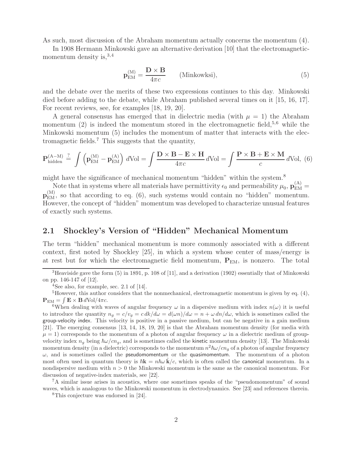As such, most discussion of the Abraham momentum actually concerns the momentum (4).

In 1908 Hermann Minkowski gave an alternative derivation [10] that the electromagneticmomentum density is,  $3,4$ 

$$
\mathbf{p}_{\text{EM}}^{(\text{M})} = \frac{\mathbf{D} \times \mathbf{B}}{4\pi c} \qquad \text{(Minkowksi)},\tag{5}
$$

and the debate over the merits of these two expressions continues to this day. Minkowski died before adding to the debate, while Abraham published several times on it [15, 16, 17]. For recent reviews, see, for examples [18, 19, 20].

A general consensus has emerged that in dielectric media (with  $\mu = 1$ ) the Abraham momentum  $(2)$  is indeed the momentum stored in the electromagnetic field,<sup>5,6</sup> while the Minkowski momentum (5) includes the momentum of matter that interacts with the electromagnetic fields.<sup>7</sup> This suggests that the quantity,

$$
\mathbf{P}_{\text{hidden}}^{(A-M)} \stackrel{?}{=} \int \left( \mathbf{p}_{\text{EM}}^{(M)} - \mathbf{p}_{\text{EM}}^{(A)} \right) dVol = \int \frac{\mathbf{D} \times \mathbf{B} - \mathbf{E} \times \mathbf{H}}{4\pi c} dVol = \int \frac{\mathbf{P} \times \mathbf{B} + \mathbf{E} \times \mathbf{M}}{c} dVol, \tag{6}
$$

might have the significance of mechanical momentum "hidden" within the system.<sup>8</sup>

Note that in systems where all materials have permittivity  $\epsilon_0$  and permeability  $\mu_0$ ,  $\mathbf{p}_{\text{EM}}^{(A)}$  $p<sub>EM</sub><sup>(M)</sup>$ , so that according to eq. (6), such systems would contain no "hidden" momentum. However, the concept of "hidden" momentum was developed to characterize unusual features of exactly such systems.

### **2.1 Shockley's Version of "Hidden" Mechanical Momentum**

The term "hidden" mechanical momentum is more commonly associated with a different context, first noted by Shockley [25], in which a system whose center of mass/energy is at rest but for which the electromagnetic field momentum,  $P_{EM}$ , is nonzero. The total

<sup>7</sup>A similar issue arises in acoustics, where one sometimes speaks of the "pseudomomentum" of sound waves, which is analogous to the Minkowski momentum in electrodynamics. See [23] and references therein.

<sup>8</sup>This conjecture was endorsed in [24].

<sup>&</sup>lt;sup>3</sup>Heaviside gave the form  $(5)$  in 1891, p. 108 of [11], and a derivation (1902) essentially that of Minkowski on pp. 146-147 of [12].

<sup>4</sup>See also, for example, sec. 2.1 of [14].

 ${}^{5}$ However, this author considers that the nonmechanical, electromagnetic momentum is given by eq.  $(4)$ ,  $P_{EM} = \int \mathbf{E} \times \mathbf{B} dVol/4\pi c$ .<br><sup>6</sup>When dealing with waves of angular frequency  $\omega$  in a dispersive medium with index  $n(\omega)$  it is useful

to introduce the quantity  $n_q = c/v_q = c \frac{dk}{d\omega} = \frac{d(\omega n)}{d\omega} = n + \frac{\omega}{dn}/d\omega$ , which is sometimes called the group-velocity index. This velocity is positive in a passive medium, but can be negative in a gain medium [21]. The emerging consensus [13, 14, 18, 19, 20] is that the Abraham momentum density (for media with  $\mu = 1$ ) corresponds to the momentum of a photon of angular frequency  $\omega$  in a dielectric medium of groupvelocity index  $n_g$  being  $\hbar \omega / c n_g$ , and is sometimes called the kinetic momentum density [13]. The Minkowski momentum density (in a dielectric) corresponds to the momentum  $n^2\hbar\omega/cn_g$  of a photon of angular frequency  $\omega$ , and is sometimes called the pseudomomentum or the quasimomentum. The momentum of a photon most often used in quantum theory is  $\hbar \mathbf{k} = n \hbar \omega \hat{\mathbf{k}}/c$ , which is often called the **canonical** momentum. In a nondispersive medium with  $n > 0$  the Minkowski momentum is the same as the canonical momentum. For discussion of negative-index materials, see [22].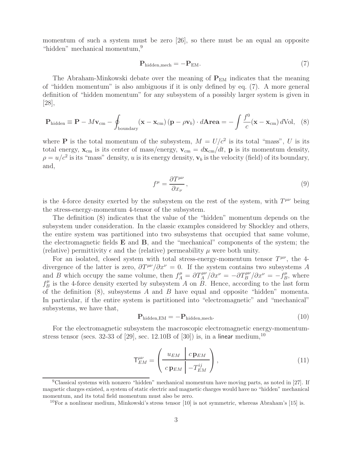momentum of such a system must be zero [26], so there must be an equal an opposite "hidden" mechanical momentum, 9

$$
\mathbf{P}_{\text{hidden,mech}} = -\mathbf{P}_{\text{EM}}.\tag{7}
$$

The Abraham-Minkowski debate over the meaning of  $P_{EM}$  indicates that the meaning of "hidden momentum" is also ambiguous if it is only defined by eq. (7). A more general definition of "hidden momentum" for any subsystem of a possibly larger system is given in [28],

$$
\mathbf{P}_{\text{hidden}} \equiv \mathbf{P} - M\mathbf{v}_{\text{cm}} - \oint_{\text{boundary}} (\mathbf{x} - \mathbf{x}_{\text{cm}}) (\mathbf{p} - \rho \mathbf{v}_b) \cdot d\mathbf{A} \mathbf{r} \mathbf{e} \mathbf{a} = -\int \frac{f^0}{c} (\mathbf{x} - \mathbf{x}_{\text{cm}}) d\text{Vol}, \quad (8)
$$

where **P** is the total momentum of the subsystem,  $M = U/c^2$  is its total "mass", U is its total energy,  $\mathbf{x}_{cm}$  is its center of mass/energy,  $\mathbf{v}_{cm} = d\mathbf{x}_{cm}/dt$ , **p** is its momentum density,  $\rho = u/c^2$  is its "mass" density, u is its energy density,  $\mathbf{v}_b$  is the velocity (field) of its boundary, and,

$$
f^{\mu} = \frac{\partial T^{\mu\nu}}{\partial x_{\nu}},\tag{9}
$$

is the 4-force density exerted by the subsystem on the rest of the system, with  $T^{\mu\nu}$  being the stress-energy-momentum 4-tensor of the subsystem.

The definition (8) indicates that the value of the "hidden" momentum depends on the subsystem under consideration. In the classic examples considered by Shockley and others, the entire system was partitioned into two subsystems that occupied that same volume, the electromagnetic fields **E** and **B**, and the "mechanical" components of the system; the (relative) permittivity  $\epsilon$  and the (relative) permeability  $\mu$  were both unity.

For an isolated, closed system with total stress-energy-momentum tensor  $T^{\mu\nu}$ , the 4divergence of the latter is zero,  $\partial T^{\mu\nu}/\partial x^{\nu} = 0$ . If the system contains two subsystems A and B which occupy the same volume, then  $f_A^{\mu} = \frac{\partial T_A^{\mu\nu}}{\partial x^{\nu}} = -\frac{\partial T_B^{\mu\nu}}{\partial x^{\nu}} = -f_B^{\mu}$ , where  $f_B^{\mu}$  is the 4-force density exerted by subsystem A on  $B$ . Hence, according to the last form of the definition  $(8)$ , subsystems A and B have equal and opposite "hidden" momenta. In particular, if the entire system is partitioned into "electromagnetic" and "mechanical" subsystems, we have that,

$$
\mathbf{P}_{\text{hidden,EM}} = -\mathbf{P}_{\text{hidden,mech}}.\tag{10}
$$

For the electromagnetic subsystem the macroscopic electromagnetic energy-momentumstress tensor (secs. 32-33 of [29], sec. 12.10B of [30]) is, in a linear medium,<sup>10</sup>

$$
\mathsf{T}^{\mu\nu}_{EM} = \left(\begin{array}{c|c} u_{EM} & c \mathbf{p}_{EM} \\ \hline c \mathbf{p}_{EM} & -T^{ij}_{EM} \end{array}\right),\tag{11}
$$

 $9$ Classical systems with nonzero "hidden" mechanical momentum have moving parts, as noted in [27]. If magnetic charges existed, a system of static electric and magnetic charges would have no "hidden" mechanical momentum, and its total field momentum must also be zero.

<sup>&</sup>lt;sup>10</sup>For a nonlinear medium, Minkowski's stress tensor [10] is not symmetric, whereas Abraham's [15] is.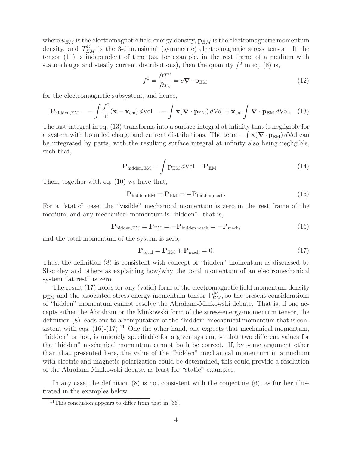where  $u_{EM}$  is the electromagnetic field energy density,  $\mathbf{p}_{EM}$  is the electromagnetic momentum density, and  $T_{EM}^{ij}$  is the 3-dimensional (symmetric) electromagnetic stress tensor. If the tensor (11) is independent of time (as, for example, in the rest frame of a medium with static charge and steady current distributions), then the quantity  $f^0$  in eq. (8) is,

$$
f^{0} = \frac{\partial T^{\nu}}{\partial x_{\nu}} = c \nabla \cdot \mathbf{p}_{\text{EM}},
$$
\n(12)

for the electromagnetic subsystem, and hence,

$$
\mathbf{P}_{\text{hidden,EM}} = -\int \frac{f^0}{c} (\mathbf{x} - \mathbf{x}_{\text{cm}}) d\text{Vol} = -\int \mathbf{x} (\nabla \cdot \mathbf{p}_{\text{EM}}) d\text{Vol} + \mathbf{x}_{\text{cm}} \int \nabla \cdot \mathbf{p}_{\text{EM}} d\text{Vol}. \tag{13}
$$

The last integral in eq. (13) transforms into a surface integral at infinity that is negligible for a system with bounded charge and current distributions. The term  $-\int \mathbf{x}(\nabla \cdot \mathbf{p}_{EM}) dVol$  can be integrated by parts, with the resulting surface integral at infinity also being negligible, such that,

$$
\mathbf{P}_{\text{hidden,EM}} = \int \mathbf{p}_{\text{EM}} \, d\text{Vol} = \mathbf{P}_{\text{EM}}.\tag{14}
$$

Then, together with eq. (10) we have that,

$$
\mathbf{P}_{\text{hidden,EM}} = \mathbf{P}_{\text{EM}} = -\mathbf{P}_{\text{hidden,mech}}.\tag{15}
$$

For a "static" case, the "visible" mechanical momentum is zero in the rest frame of the medium, and any mechanical momentum is "hidden". that is,

$$
\mathbf{P}_{\text{hidden,EM}} = \mathbf{P}_{\text{EM}} = -\mathbf{P}_{\text{hidden,mech}} = -\mathbf{P}_{\text{mech}},\tag{16}
$$

and the total momentum of the system is zero,

$$
\mathbf{P}_{\text{total}} = \mathbf{P}_{\text{EM}} + \mathbf{P}_{\text{mech}} = 0. \tag{17}
$$

Thus, the definition (8) is consistent with concept of "hidden" momentum as discussed by Shockley and others as explaining how/why the total momentum of an electromechanical system "at rest" is zero.

The result (17) holds for any (valid) form of the electromagnetic field momentum density  $p_{EM}$  and the associated stress-energy-momentum tensor  $T^{\mu\nu}_{EM}$ , so the present considerations of "hidden" momentum cannot resolve the Abraham-Minkowski debate. That is, if one accepts either the Abraham or the Minkowski form of the stress-energy-momentum tensor, the definition (8) leads one to a computation of the "hidden" mechanical momentum that is consistent with eqs.  $(16)-(17)$ <sup>11</sup> One the other hand, one expects that mechanical momentum, "hidden" or not, is uniquely specifiable for a given system, so that two different values for the "hidden" mechanical momentum cannot both be correct. If, by some argument other than that presented here, the value of the "hidden" mechanical momentum in a medium with electric and magnetic polarization could be determined, this could provide a resolution of the Abraham-Minkowski debate, as least for "static" examples.

In any case, the definition  $(8)$  is not consistent with the conjecture  $(6)$ , as further illustrated in the examples below.

<sup>&</sup>lt;sup>11</sup>This conclusion appears to differ from that in [36].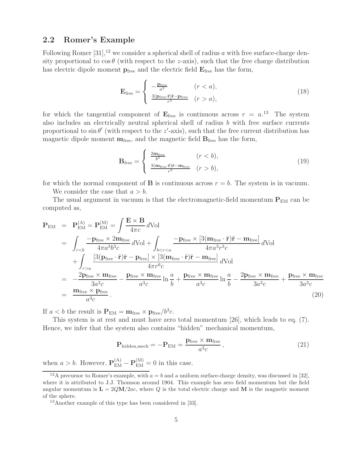### **2.2 Romer's Example**

Following Romer  $[31]$ ,<sup>12</sup> we consider a spherical shell of radius a with free surface-charge density proportional to  $\cos \theta$  (with respect to the *z*-axis), such that the free charge distribution has electric dipole moment  $p_{\text{free}}$  and the electric field  $E_{\text{free}}$  has the form,

$$
\mathbf{E}_{\text{free}} = \begin{cases} -\frac{\mathbf{p}_{\text{free}}}{a^3} & (r < a), \\ \frac{3(\mathbf{p}_{\text{free}} \cdot \hat{\mathbf{r}}) \hat{\mathbf{r}} - \mathbf{p}_{\text{free}}}{r^3} & (r > a), \end{cases}
$$
(18)

for which the tangential component of  $\mathbf{E}_{\text{free}}$  is continuous across  $r = a$ <sup>13</sup>. The system also includes an electrically neutral spherical shell of radius  $b$  with free surface currents proportional to  $\sin \theta'$  (with respect to the z'-axis), such that the free current distribution has magnetic dipole moment  $m_{\text{free}}$ , and the magnetic field  $B_{\text{free}}$  has the form,

$$
\mathbf{B}_{\text{free}} = \begin{cases} \frac{2\mathbf{m}_{\text{free}}}{b^3} & (r < b), \\ \frac{3(\mathbf{m}_{\text{free}} \cdot \hat{\mathbf{r}}) \hat{\mathbf{r}} - \mathbf{m}_{\text{free}}}{r^3} & (r > b), \end{cases}
$$
(19)

for which the normal component of **B** is continuous across  $r = b$ . The system is in vacuum.

We consider the case that  $a > b$ .

The usual argument in vacuum is that the electromagnetic-field momentum  $P_{EM}$  can be computed as,

$$
\mathbf{P}_{\text{EM}} = \mathbf{P}_{\text{EM}}^{(\text{A})} = \mathbf{P}_{\text{EM}}^{(\text{M})} = \int \frac{\mathbf{E} \times \mathbf{B}}{4\pi c} d\text{Vol}
$$
\n
$$
= \int_{r\n
$$
+ \int_{r>a} \frac{[3(\mathbf{p}_{\text{free}} \cdot \hat{\mathbf{r}}) \hat{\mathbf{r}} - \mathbf{p}_{\text{free}}] \times [3(\mathbf{m}_{\text{free}} \cdot \hat{\mathbf{r}}) \hat{\mathbf{r}} - \mathbf{m}_{\text{free}}]}{4\pi r^6 c} d\text{Vol}
$$
\n
$$
= \frac{-2\mathbf{p}_{\text{free}} \times \mathbf{m}_{\text{free}}}{3a^3 c} - \frac{\mathbf{p}_{\text{free}} \times \mathbf{m}_{\text{free}}}{a^3 c} \ln \frac{a}{b} + \frac{\mathbf{p}_{\text{free}} \times \mathbf{m}_{\text{free}}}{a^3 c} \ln \frac{a}{b} - \frac{2\mathbf{p}_{\text{free}} \times \mathbf{m}_{\text{free}}}{3a^3 c} + \frac{\mathbf{p}_{\text{free}} \times \mathbf{m}_{\text{free}}}{3a^3 c} \tag{20}
$$
$$

If  $a < b$  the result is  $P_{EM} = m_{free} \times p_{free}/b^3c$ .

This system is at rest and must have zero total momentum [26], which leads to eq. (7). Hence, we infer that the system also contains "hidden" mechanical momentum,

$$
\mathbf{P}_{\text{hidden,mech}} = -\mathbf{P}_{\text{EM}} = \frac{\mathbf{p}_{\text{free}} \times \mathbf{m}_{\text{free}}}{a^3 c},\tag{21}
$$

when  $a > b$ . However,  $\mathbf{P}_{EM}^{(A)} - \mathbf{P}_{EM}^{(M)} = 0$  in this case.

<sup>&</sup>lt;sup>12</sup>A precursor to Romer's example, with  $a = b$  and a uniform surface-charge density, was discussed in [32], where it is attributed to J.J. Thomson around 1904. This example has zero field momentum but the field angular momentum is  $\mathbf{L} = 2QM/2ac$ , where Q is the total electric charge and M is the magnetic moment of the sphere.

<sup>13</sup>Another example of this type has been considered in [33].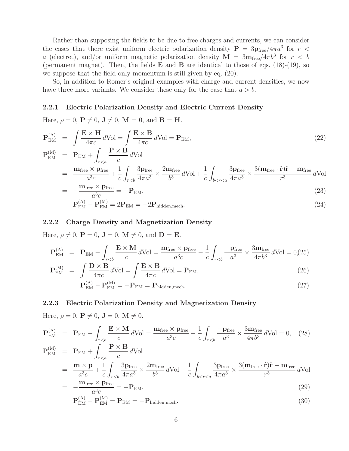Rather than supposing the fields to be due to free charges and currents, we can consider the cases that there exist uniform electric polarization density  $P = 3p_{\text{free}}/4\pi a^3$  for  $r <$ a (electret), and/or uniform magnetic polarization density  $\mathbf{M} = 3\mathbf{m}_{\text{free}}/4\pi b^3$  for  $r < b$ (permanent magnet). Then, the fields **E** and **B** are identical to those of eqs. (18)-(19), so we suppose that the field-only momentum is still given by eq. (20).

So, in addition to Romer's original examples with charge and current densities, we now have three more variants. We consider these only for the case that  $a > b$ .

#### **2.2.1 Electric Polarization Density and Electric Current Density**

Here,  $\rho = 0$ ,  $P \neq 0$ ,  $J \neq 0$ ,  $M = 0$ , and  $B = H$ .

$$
\mathbf{P}_{\text{EM}}^{(\text{A})} = \int \frac{\mathbf{E} \times \mathbf{H}}{4\pi c} d\text{Vol} = \int \frac{\mathbf{E} \times \mathbf{B}}{4\pi c} d\text{Vol} = \mathbf{P}_{\text{EM}},
$$
\n
$$
\mathbf{P}_{\text{EM}}^{(\text{M})} = \mathbf{P}_{\text{EM}} + \int_{r < a} \frac{\mathbf{P} \times \mathbf{B}}{c} d\text{Vol}
$$
\n
$$
= \frac{\mathbf{m}_{\text{free}} \times \mathbf{p}_{\text{free}}}{a^3 c} + \frac{1}{c} \int_{r < b} \frac{3\mathbf{p}_{\text{free}}}{4\pi a^3} \times \frac{2\mathbf{m}_{\text{free}}}{b^3} d\text{Vol} + \frac{1}{c} \int_{b < r < a} \frac{3\mathbf{p}_{\text{free}}}{4\pi a^3} \times \frac{3(\mathbf{m}_{\text{free}} \cdot \hat{\mathbf{r}}) \hat{\mathbf{r}} - \mathbf{m}_{\text{free}}}{r^3} d\text{Vol}
$$
\n
$$
= -\frac{\mathbf{m}_{\text{free}} \times \mathbf{p}_{\text{free}}}{a^3 c} = -\mathbf{P}_{\text{EM}}.
$$
\n(23)

$$
\mathbf{P}_{\text{EM}}^{(A)} - \mathbf{P}_{\text{EM}}^{(M)} = 2\mathbf{P}_{\text{EM}} = -2\mathbf{P}_{\text{hidden,mech}}.\tag{24}
$$

#### **2.2.2 Charge Density and Magnetization Density**

Here,  $\rho \neq 0$ ,  $\mathbf{P} = 0$ ,  $\mathbf{J} = 0$ ,  $\mathbf{M} \neq 0$ , and  $\mathbf{D} = \mathbf{E}$ .

$$
\mathbf{P}_{\text{EM}}^{(\text{A})} = \mathbf{P}_{\text{EM}} - \int_{r  

$$
\mathbf{P}_{\text{EM}}^{(\text{M})} = \int \mathbf{D} \times \mathbf{B}_{\text{AVol}} \mathbf{A}_{\text{Vol}} = \int \mathbf{E} \times \mathbf{B}_{\text{AVol}} = \mathbf{D}
$$
$$

$$
\mathbf{P}_{\text{EM}}^{(M)} = \int \frac{\mathbf{D} \times \mathbf{B}}{4\pi c} d\text{Vol} = \int \frac{\mathbf{E} \times \mathbf{B}}{4\pi c} d\text{Vol} = \mathbf{P}_{\text{EM}},\tag{26}
$$

$$
\mathbf{P}_{\text{EM}}^{(A)} - \mathbf{P}_{\text{EM}}^{(M)} = -\mathbf{P}_{\text{EM}} = \mathbf{P}_{\text{hidden,mech}}.
$$
\n(27)

#### **2.2.3 Electric Polarization Density and Magnetization Density**

Here,  $\rho = 0$ ,  $\mathbf{P} \neq 0$ ,  $\mathbf{J} = 0$ ,  $\mathbf{M} \neq 0$ .

$$
\mathbf{P}_{\text{EM}}^{(\text{A})} = \mathbf{P}_{\text{EM}} - \int_{r\n
$$
\mathbf{P}_{\text{EM}}^{(\text{M})} = \mathbf{P}_{\text{EM}} + \int_{r\n
$$
= \frac{\mathbf{m} \times \mathbf{p}}{a^3 c} + \frac{1}{c} \int_{r\n
$$
= -\frac{\mathbf{m}_{\text{free}} \times \mathbf{p}_{\text{free}}}{a^3 c} = -\mathbf{P}_{\text{EM}}.
$$
\n(29)
$$
$$
$$

$$
\mathbf{P}_{\text{EM}}^{(A)} - \mathbf{P}_{\text{EM}}^{(M)} = \mathbf{P}_{\text{EM}} = -\mathbf{P}_{\text{hidden,mech}}.
$$
\n(30)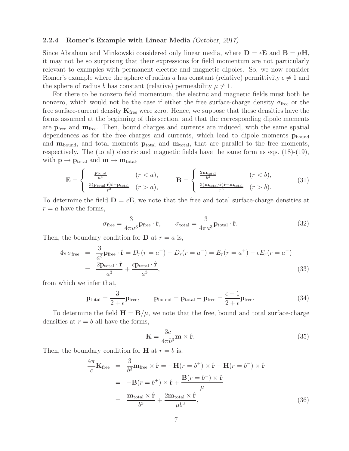#### **2.2.4 Romer's Example with Linear Media** *(October, 2017)*

Since Abraham and Minkowski considered only linear media, where  $\mathbf{D} = \epsilon \mathbf{E}$  and  $\mathbf{B} = \mu \mathbf{H}$ , it may not be so surprising that their expressions for field momentum are not particularly relevant to examples with permanent electric and magnetic dipoles. So, we now consider Romer's example where the sphere of radius a has constant (relative) permittivity  $\epsilon \neq 1$  and the sphere of radius b has constant (relative) permeability  $\mu \neq 1$ .

For there to be nonzero field momentum, the electric and magnetic fields must both be nonzero, which would not be the case if either the free surface-charge density  $\sigma_{\text{free}}$  or the free surface-current density  $\mathbf{K}_{\text{free}}$  were zero. Hence, we suppose that these densities have the forms assumed at the beginning of this section, and that the corresponding dipole moments are **p**free and **m**free. Then, bound charges and currents are induced, with the same spatial dependences as for the free charges and currents, which lead to dipole moments  $\mathbf{p}_{\text{bound}}$ and  $m_{\text{bound}}$ , and total moments  $p_{\text{total}}$  and  $m_{\text{total}}$ , that are parallel to the free moments, respectively. The (total) electric and magnetic fields have the same form as eqs. (18)-(19), with  $p \rightarrow p_{total}$  and  $m \rightarrow m_{total}$ ,

$$
\mathbf{E} = \begin{cases} -\frac{\mathbf{p}_{\text{total}}}{a^3} & (r < a), \\ \frac{3(\mathbf{p}_{\text{total}} \cdot \hat{\mathbf{r}}) \hat{\mathbf{r}} - \mathbf{p}_{\text{total}}}{r^3} & (r > a), \end{cases} \qquad \mathbf{B} = \begin{cases} \frac{2\mathbf{m}_{\text{total}}}{b^3} & (r < b), \\ \frac{3(\mathbf{m}_{\text{total}} \cdot \hat{\mathbf{r}}) \hat{\mathbf{r}} - \mathbf{m}_{\text{total}}}{r^3} & (r > b). \end{cases} \tag{31}
$$

To determine the field  $\mathbf{D} = \epsilon \mathbf{E}$ , we note that the free and total surface-charge densities at  $r = a$  have the forms,

$$
\sigma_{\text{free}} = \frac{3}{4\pi a^3} \mathbf{p}_{\text{free}} \cdot \hat{\mathbf{r}}, \qquad \sigma_{\text{total}} = \frac{3}{4\pi a^3} \mathbf{p}_{\text{total}} \cdot \hat{\mathbf{r}}.
$$
 (32)

Then, the boundary condition for **D** at  $r = a$  is,

$$
4\pi\sigma_{\text{free}} = \frac{3}{a^3} \mathbf{p}_{\text{free}} \cdot \hat{\mathbf{r}} = D_r(r = a^+) - D_r(r = a^-) = E_r(r = a^+) - \epsilon E_r(r = a^-)
$$
  
= 
$$
\frac{2\mathbf{p}_{\text{total}} \cdot \hat{\mathbf{r}}}{a^3} + \frac{\epsilon \mathbf{p}_{\text{total}} \cdot \hat{\mathbf{r}}}{a^3},
$$
(33)

from which we infer that,

$$
\mathbf{p}_{\text{total}} = \frac{3}{2 + \epsilon} \mathbf{p}_{\text{free}}, \qquad \mathbf{p}_{\text{bound}} = \mathbf{p}_{\text{total}} - \mathbf{p}_{\text{free}} = \frac{\epsilon - 1}{2 + \epsilon} \mathbf{p}_{\text{free}}.
$$
 (34)

To determine the field  $\mathbf{H} = \mathbf{B}/\mu$ , we note that the free, bound and total surface-charge densities at  $r = b$  all have the forms,

$$
\mathbf{K} = \frac{3c}{4\pi b^3} \mathbf{m} \times \hat{\mathbf{r}}.\tag{35}
$$

Then, the boundary condition for **H** at  $r = b$  is,

$$
\frac{4\pi}{c}\mathbf{K}_{\text{free}} = \frac{3}{b^3}\mathbf{m}_{\text{free}} \times \hat{\mathbf{r}} = -\mathbf{H}(r = b^+) \times \hat{\mathbf{r}} + \mathbf{H}(r = b^-) \times \hat{\mathbf{r}}
$$
\n
$$
= -\mathbf{B}(r = b^+) \times \hat{\mathbf{r}} + \frac{\mathbf{B}(r = b^-) \times \hat{\mathbf{r}}}{\mu}
$$
\n
$$
= \frac{\mathbf{m}_{\text{total}} \times \hat{\mathbf{r}}}{b^3} + \frac{2\mathbf{m}_{\text{total}} \times \hat{\mathbf{r}}}{\mu b^3},
$$
\n(36)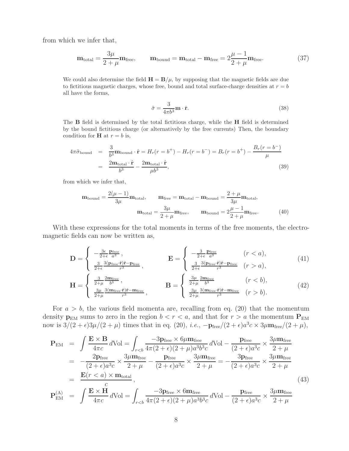from which we infer that,

$$
\mathbf{m}_{\text{total}} = \frac{3\mu}{2 + \mu} \mathbf{m}_{\text{free}}, \qquad \mathbf{m}_{\text{bound}} = \mathbf{m}_{\text{total}} - \mathbf{m}_{\text{free}} = 2\frac{\mu - 1}{2 + \mu} \mathbf{m}_{\text{free}}.
$$
 (37)

We could also determine the field  $\mathbf{H} = \mathbf{B}/\mu$ , by supposing that the magnetic fields are due to fictitious magnetic charges, whose free, bound and total surface-charge densities at  $r = b$ all have the forms,

$$
\tilde{\sigma} = \frac{3}{4\pi b^3} \mathbf{m} \cdot \hat{\mathbf{r}}.\tag{38}
$$

The **B** field is determined by the total fictitious charge, while the **H** field is determined by the bound fictitious charge (or alternatively by the free currents) Then, the boundary condition for **H** at  $r = b$  is,

$$
4\pi\tilde{\sigma}_{\text{bound}} = \frac{3}{b^3}\mathbf{m}_{\text{bound}} \cdot \hat{\mathbf{r}} = H_r(r = b^+) - H_r(r = b^-) = B_r(r = b^+) - \frac{B_r(r = b^-)}{\mu}
$$

$$
= \frac{2\mathbf{m}_{\text{total}} \cdot \hat{\mathbf{r}}}{b^3} - \frac{2\mathbf{m}_{\text{total}} \cdot \hat{\mathbf{r}}}{\mu b^3},
$$
(39)

from which we infer that,

$$
\mathbf{m}_{\text{bound}} = \frac{2(\mu - 1)}{3\mu} \mathbf{m}_{\text{total}}, \qquad \mathbf{m}_{\text{free}} = \mathbf{m}_{\text{total}} - \mathbf{m}_{\text{bound}} = \frac{2 + \mu}{3\mu} \mathbf{m}_{\text{total}},
$$

$$
\mathbf{m}_{\text{total}} = \frac{3\mu}{2 + \mu} \mathbf{m}_{\text{free}}, \qquad \mathbf{m}_{\text{bound}} = 2\frac{\mu - 1}{2 + \mu} \mathbf{m}_{\text{free}}.
$$
(40)

With these expressions for the total moments in terms of the free moments, the electromagnetic fields can now be written as,

$$
\mathbf{D} = \begin{cases} -\frac{3\epsilon}{2+\epsilon} \frac{\mathbf{p}_{\text{free}}}{a^3}, & \mathbf{E} = \begin{cases} -\frac{3}{2+\epsilon} \frac{\mathbf{p}_{\text{free}}}{a^3} & (r < a), \\ \frac{3}{2+\epsilon} \frac{3(\mathbf{p}_{\text{free}} \cdot \hat{\mathbf{r}}) \hat{\mathbf{r}} - \mathbf{p}_{\text{free}}}{r^3}, & \frac{3(\mathbf{p}_{\text{free}} \cdot \hat{\mathbf{r}}) \hat{\mathbf{r}} - \mathbf{p}_{\text{free}}}{r^3} & (r > a), \end{cases} \end{cases} (41)
$$

$$
\mathbf{H} = \begin{cases} \frac{3}{2+\mu} \frac{2m_{\text{free}}}{b^3}, & \mathbf{B} = \begin{cases} \frac{3\mu}{2+\mu} \frac{2m_{\text{free}}}{b^3} & (r < b), \\ \frac{3\mu}{2+\mu} \frac{3(m_{\text{free}} \cdot \hat{\mathbf{r}})\hat{\mathbf{r}} - m_{\text{free}}}{r^3}, & (r > b). \end{cases} \tag{42}
$$

For  $a > b$ , the various field momenta are, recalling from eq. (20) that the momentum density  $p_{EM}$  sums to zero in the region  $b < r < a$ , and that for  $r > a$  the momentum  $P_{EM}$ now is  $3/(2 + \epsilon)3\mu/(2 + \mu)$  times that in eq. (20), *i.e.*,  $-\mathbf{p}_{\text{free}}/(2 + \epsilon)a^3c \times 3\mu \mathbf{m}_{\text{free}}/(2 + \mu)$ ,

$$
\mathbf{P}_{\text{EM}} = \int \frac{\mathbf{E} \times \mathbf{B}}{4\pi c} d\text{Vol} = \int_{r\n= \frac{2\mathbf{p}_{\text{free}}}{(2+\epsilon)a^3 c} \times \frac{3\mu \mathbf{m}_{\text{free}}}{2+\mu} - \frac{\mathbf{p}_{\text{free}}}{(2+\epsilon)a^3 c} \times \frac{3\mu \mathbf{m}_{\text{free}}}{2+\mu} = -\frac{3\mathbf{p}_{\text{free}}}{(2+\epsilon)a^3 c} \times \frac{3\mu \mathbf{m}_{\text{free}}}{2+\mu} \n= \frac{\mathbf{E}(r < a) \times \mathbf{m}_{\text{total}}}{c},
$$
\n(43)

$$
\mathbf{P}_{\text{EM}}^{(\text{A})} = \int \frac{\mathbf{E} \times \mathbf{H}}{4\pi c} d\text{Vol} = \int_{r
$$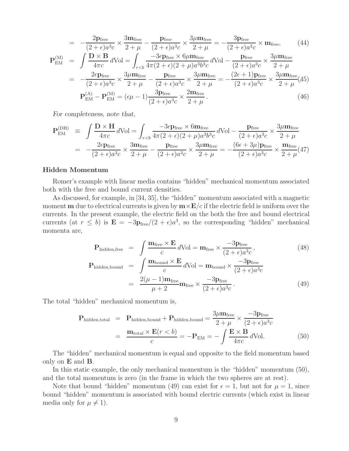$$
= -\frac{2p_{\text{free}}}{(2+\epsilon)a^3c} \times \frac{3m_{\text{free}}}{2+\mu} - \frac{p_{\text{free}}}{(2+\epsilon)a^3c} \times \frac{3\mu m_{\text{free}}}{2+\mu} = -\frac{3p_{\text{free}}}{(2+\epsilon)a^3c} \times m_{\text{free}}, \qquad (44)
$$
  
\n
$$
\mathbf{P}_{\text{EM}}^{(M)} = \int \frac{\mathbf{D} \times \mathbf{B}}{4\pi c} d\text{Vol} = \int_{r  
\n
$$
\mathbf{P}_{\text{EM}}^{(A)} - \mathbf{P}_{\text{EM}}^{(M)} = (\epsilon\mu - 1)\frac{3p_{\text{free}}}{(2+\epsilon)a^3c} \times \frac{2m_{\text{free}}}{2+\mu}.
$$
 (46)
$$

*For completeness, note that,*

$$
\mathbf{P}_{\text{EM}}^{(\text{DH})} \equiv \int \frac{\mathbf{D} \times \mathbf{H}}{4\pi c} d\text{Vol} = \int_{r\n
$$
= -\frac{2\epsilon \mathbf{p}_{\text{free}}}{(2+\epsilon)a^3 c} \times \frac{3\mathbf{m}_{\text{free}}}{2+\mu} - \frac{\mathbf{p}_{\text{free}}}{(2+\epsilon)a^3 c} \times \frac{3\mu \mathbf{m}_{\text{free}}}{2+\mu} = -\frac{(6\epsilon + 3\mu)\mathbf{p}_{\text{free}}}{(2+\epsilon)a^3 c} \times \frac{\mathbf{m}_{\text{free}}}{2+\mu} (47)
$$
$$

#### **Hidden Momentum**

Romer's example with linear media contains "hidden" mechanical momentum associated both with the free and bound current densities.

As discussed, for example, in [34, 35], the "hidden" momentum associated with a magnetic moment **m** due to electrical currents is given by  $\mathbf{m} \times \mathbf{E}/c$  if the electric field is uniform over the currents. In the present example, the electric field on the both the free and bound electrical currents (at  $r \leq b$ ) is  $\mathbf{E} = -3\mathbf{p}_{\text{free}}/(2+\epsilon)a^3$ , so the corresponding "hidden" mechanical momenta are,

$$
\mathbf{P}_{\text{hidden,free}} = \int \frac{\mathbf{m}_{\text{free}} \times \mathbf{E}}{c} d\text{Vol} = \mathbf{m}_{\text{free}} \times \frac{-3\mathbf{p}_{\text{free}}}{(2+\epsilon)a^3c},\tag{48}
$$

$$
\mathbf{P}_{\text{hidden,bound}} = \int \frac{\mathbf{m}_{\text{bound}} \times \mathbf{E}}{c} d\text{Vol} = \mathbf{m}_{\text{bound}} \times \frac{-3\mathbf{p}_{\text{free}}}{(2+\epsilon)a^3c} \n= \frac{2(\mu-1)\mathbf{m}_{\text{free}}}{\mu+2} \mathbf{m}_{\text{free}} \times \frac{-3\mathbf{p}_{\text{free}}}{(2+\epsilon)a^3c}.
$$
\n(49)

The total "hidden" mechanical momentum is,

$$
\mathbf{P}_{\text{hidden,total}} = \mathbf{P}_{\text{hidden,bound}} + \mathbf{P}_{\text{hidden,bound}} = \frac{3\mu \mathbf{m}_{\text{free}}}{2 + \mu} \times \frac{-3\mathbf{p}_{\text{free}}}{(2 + \epsilon)a^3c}
$$

$$
= \frac{\mathbf{m}_{\text{total}} \times \mathbf{E}(r < b)}{c} = -\mathbf{P}_{\text{EM}} = -\int \frac{\mathbf{E} \times \mathbf{B}}{4\pi c} d\text{Vol.}
$$
(50)

The "hidden" mechanical momentum is equal and opposite to the field momentum based only on **E** and **B**.

In this static example, the only mechanical momentum is the "hidden" momentum (50), and the total momentum is zero (in the frame in which the two spheres are at rest).

Note that bound "hidden" momentum (49) can exist for  $\epsilon = 1$ , but not for  $\mu = 1$ , since bound "hidden" momentum is associated with bound electric currents (which exist in linear media only for  $\mu \neq 1$ ).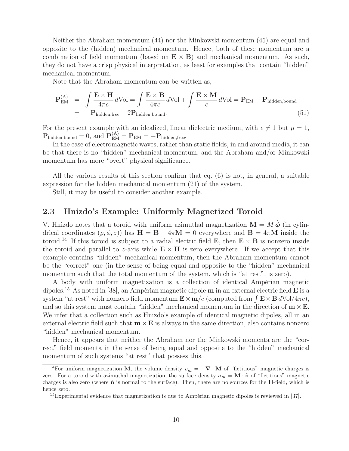Neither the Abraham momentum (44) nor the Minkowski momentum (45) are equal and opposite to the (hidden) mechanical momentum. Hence, both of these momentum are a combination of field momentum (based on  $\mathbf{E} \times \mathbf{B}$ ) and mechanical momentum. As such, they do not have a crisp physical interpretation, as least for examples that contain "hidden" mechanical momentum.

Note that the Abraham momentum can be written as,

$$
\mathbf{P}_{\text{EM}}^{(A)} = \int \frac{\mathbf{E} \times \mathbf{H}}{4\pi c} d\text{Vol} = \int \frac{\mathbf{E} \times \mathbf{B}}{4\pi c} d\text{Vol} + \int \frac{\mathbf{E} \times \mathbf{M}}{c} d\text{Vol} = \mathbf{P}_{\text{EM}} - \mathbf{P}_{\text{hidden,bound}}
$$
\n
$$
= -\mathbf{P}_{\text{hidden,free}} - 2\mathbf{P}_{\text{hidden,bound}}.
$$
\n(51)

For the present example with an idealized, linear dielectric medium, with  $\epsilon \neq 1$  but  $\mu = 1$ ,  $\mathbf{P}_{\text{hidden,bound}} = 0$ , and  $\mathbf{P}_{\text{EM}}^{(A)} = \mathbf{P}_{\text{EM}} = -\mathbf{P}_{\text{hidden,free}}$ .

In the case of electromagnetic waves, rather than static fields, in and around media, it can be that there is no "hidden" mechanical momentum, and the Abraham and/or Minkowski momentum has more "overt" physical significance.

All the various results of this section confirm that eq. (6) is not, in general, a suitable expression for the hidden mechanical momentum (21) of the system.

Still, it may be useful to consider another example.

## **2.3 Hnizdo's Example: Uniformly Magnetized Toroid**

V. Hnizdo notes that a toroid with uniform azimuthal magnetization  $\mathbf{M} = M \hat{\boldsymbol{\phi}}$  (in cylindrical coordinates  $(\rho, \phi, z)$ ) has  $\mathbf{H} = \mathbf{B} - 4\pi \mathbf{M} = 0$  everywhere and  $\mathbf{B} = 4\pi \mathbf{M}$  inside the toroid.<sup>14</sup> If this toroid is subject to a radial electric field **E**, then  $\mathbf{E} \times \mathbf{B}$  is nonzero inside the toroid and parallel to z-axis while  $\mathbf{E} \times \mathbf{H}$  is zero everywhere. If we accept that this example contains "hidden" mechanical momentum, then the Abraham momentum cannot be the "correct" one (in the sense of being equal and opposite to the "hidden" mechanical momentum such that the total momentum of the system, which is "at rest", is zero).

A body with uniform magnetization is a collection of identical Ampèrian magnetic dipoles.<sup>15</sup> As noted in [38], an Ampèrian magnetic dipole  $m$  in an external electric field  $E$  is a system "at rest" with nonzero field momentum  $\mathbf{E} \times \mathbf{m}/c$  (computed from  $\int \mathbf{E} \times \mathbf{B} dVol/4\pi c$ ), and so this system must contain "hidden" mechanical momentum in the direction of  $m \times E$ . We infer that a collection such as Hnizdo's example of identical magnetic dipoles, all in an external electric field such that  $m \times E$  is always in the same direction, also contains nonzero "hidden" mechanical momentum.

Hence, it appears that neither the Abraham nor the Minkowski momenta are the "correct" field momenta in the sense of being equal and opposite to the "hidden" mechanical momentum of such systems "at rest" that possess this.

<sup>&</sup>lt;sup>14</sup>For uniform magnetization **M**, the volume density  $\rho_m = -\nabla \cdot \mathbf{M}$  of "fictitious" magnetic charges is zero. For a toroid with azimuthal magnetization, the surface density  $\sigma_m = \mathbf{M} \cdot \hat{\mathbf{n}}$  of "fictitious" magnetic charges is also zero (where **n**ˆ is normal to the surface). Then, there are no sources for the **H**-field, which is hence zero.

 $15$ Experimental evidence that magnetization is due to Ampèrian magnetic dipoles is reviewed in [37].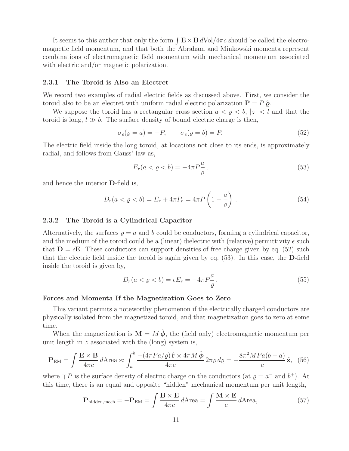It seems to this author that only the form  $\int \mathbf{E} \times \mathbf{B} dVol/4\pi c$  should be called the electromagnetic field momentum, and that both the Abraham and Minkowski momenta represent combinations of electromagnetic field momentum with mechanical momentum associated with electric and/or magnetic polarization.

#### **2.3.1 The Toroid is Also an Electret**

We record two examples of radial electric fields as discussed above. First, we consider the toroid also to be an electret with uniform radial electric polarization  $P = P \hat{\rho}$ .

We suppose the toroid has a rectangular cross section  $a < \varrho < b$ ,  $|z| < l$  and that the toroid is long,  $l \gg b$ . The surface density of bound electric charge is then,

$$
\sigma_e(\varrho = a) = -P, \qquad \sigma_e(\varrho = b) = P. \tag{52}
$$

The electric field inside the long toroid, at locations not close to its ends, is approximately radial, and follows from Gauss' law as,

$$
E_r(a < \varrho < b) = -4\pi P \frac{a}{\varrho},\tag{53}
$$

and hence the interior **D**-field is,

$$
D_r(a < \varrho < b) = E_r + 4\pi P_r = 4\pi P \left( 1 - \frac{a}{\varrho} \right) \,. \tag{54}
$$

#### **2.3.2 The Toroid is a Cylindrical Capacitor**

Alternatively, the surfaces  $\rho = a$  and b could be conductors, forming a cylindrical capacitor, and the medium of the toroid could be a (linear) dielectric with (relative) permittivity  $\epsilon$  such that  $\mathbf{D} = \epsilon \mathbf{E}$ . These conductors can support densities of free charge given by eq. (52) such that the electric field inside the toroid is again given by eq. (53). In this case, the **D**-field inside the toroid is given by,

$$
D_r(a < \varrho < b) = \epsilon E_r = -4\pi P \frac{a}{\varrho} \,. \tag{55}
$$

#### **Forces and Momenta If the Magnetization Goes to Zero**

This variant permits a noteworthy phenomenon if the electrically charged conductors are physically isolated from the magnetized toroid, and that magnetization goes to zero at some time.

When the magnetization is  $\mathbf{M} = M \hat{\boldsymbol{\phi}}$ , the (field only) electromagnetic momentum per unit length in  $z$  associated with the (long) system is,

$$
\mathbf{P}_{\text{EM}} = \int \frac{\mathbf{E} \times \mathbf{B}}{4\pi c} d\text{Area} \approx \int_{a}^{b} \frac{-(4\pi Pa/\varrho) \hat{\mathbf{r}} \times 4\pi M \hat{\boldsymbol{\phi}}}{4\pi c} 2\pi \varrho d\varrho = -\frac{8\pi^2 MPa(b-a)}{c} \hat{\mathbf{z}}, \tag{56}
$$

where  $\mp P$  is the surface density of electric charge on the conductors (at  $\rho = a^-$  and  $b^+$ ). At this time, there is an equal and opposite "hidden" mechanical momentum per unit length,

$$
\mathbf{P}_{\text{hidden,mech}} = -\mathbf{P}_{\text{EM}} = \int \frac{\mathbf{B} \times \mathbf{E}}{4\pi c} d\text{Area} = \int \frac{\mathbf{M} \times \mathbf{E}}{c} d\text{Area},\tag{57}
$$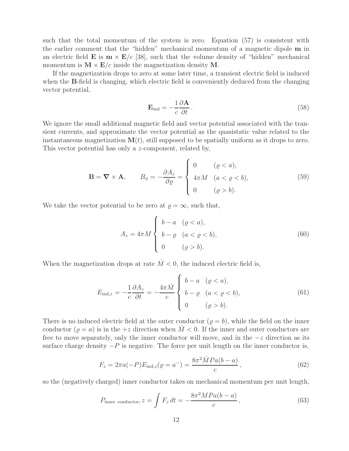such that the total momentum of the system is zero. Equation (57) is consistent with the earlier comment that the "hidden" mechanical momentum of a magnetic dipole **m** in an electric field **E** is  $\mathbf{m} \times \mathbf{E}/c$  [38], such that the volume density of "hidden" mechanical momentum is  $M \times E/c$  inside the magnetization density M.

If the magnetization drops to zero at some later time, a transient electric field is induced when the **B**-field is changing, which electric field is conveniently deduced from the changing vector potential,

$$
\mathbf{E}_{\rm ind} = -\frac{1}{c} \frac{\partial \mathbf{A}}{\partial t} \,. \tag{58}
$$

We ignore the small additional magnetic field and vector potential associated with the transient currents, and approximate the vector potential as the quasistatic value related to the instantaneous magnetization  $M(t)$ , still supposed to be spatially uniform as it drops to zero. This vector potential has only a z-component, related by,

$$
\mathbf{B} = \nabla \times \mathbf{A}, \qquad B_{\phi} = -\frac{\partial A_z}{\partial \varrho} = \begin{cases} 0 & (\varrho < a), \\ 4\pi M & (a < \varrho < b), \\ 0 & (\varrho > b). \end{cases} \tag{59}
$$

We take the vector potential to be zero at  $\rho = \infty$ , such that,

$$
A_z = 4\pi M \begin{cases} b-a & ( \varrho < a ), \\ b-\varrho & (a < \varrho < b ), \\ 0 & ( \varrho > b ). \end{cases}
$$
 (60)

When the magnetization drops at rate  $\dot{M} < 0$ , the induced electric field is,

$$
E_{\text{ind},z} = -\frac{1}{c} \frac{\partial A_z}{\partial t} = -\frac{4\pi \dot{M}}{c} \begin{cases} b - a & ( \varrho < a ),\\ b - \varrho & (a < \varrho < b ),\\ 0 & ( \varrho > b ). \end{cases}
$$
(61)

There is no induced electric field at the outer conductor  $(\rho = b)$ , while the field on the inner conductor ( $\rho = a$ ) is in the  $+z$  direction when  $M < 0$ . If the inner and outer conductors are free to move separately, only the inner conductor will move, and in the  $-z$  direction as its surface charge density  $-P$  is negative. The force per unit length on the inner conductor is,

$$
F_z = 2\pi a(-P)E_{\text{ind},z}(\varrho = a^-) = \frac{8\pi^2 \dot{M}Pa(b-a)}{c},\tag{62}
$$

so the (negatively charged) inner conductor takes on mechanical momentum per unit length,

$$
P_{\text{inner conductor}}, z = \int F_z dt = -\frac{8\pi^2 MPa(b-a)}{c}, \qquad (63)
$$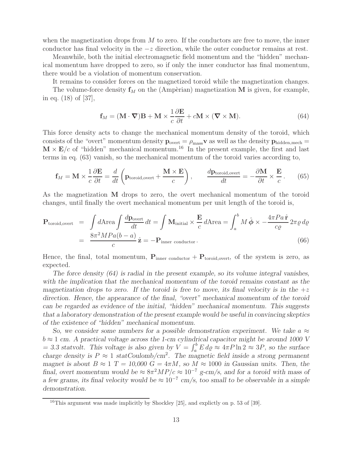when the magnetization drops from  $M$  to zero. If the conductors are free to move, the inner conductor has final velocity in the  $-z$  direction, while the outer conductor remains at rest.

Meanwhile, both the initial electromagnetic field momentum and the "hidden" mechanical momentum have dropped to zero, so if only the inner conductor has final momentum, there would be a violation of momentum conservation.

It remains to consider forces on the magnetized toroid while the magnetization changes.

The volume-force density  $f_M$  on the (Ampèrian) magnetization **M** is given, for example, in eq. (18) of [37],

$$
\mathbf{f}_M = (\mathbf{M} \cdot \mathbf{\nabla}) \mathbf{B} + \mathbf{M} \times \frac{1}{c} \frac{\partial \mathbf{E}}{\partial t} + c \mathbf{M} \times (\mathbf{\nabla} \times \mathbf{M}). \tag{64}
$$

This force density acts to change the mechanical momentum density of the toroid, which consists of the "overt" momentum density  $\mathbf{p}_{\text{overt}} = \rho_{\text{mass}} \mathbf{v}$  as well as the density  $\mathbf{p}_{\text{hidden,mech}} =$  $\mathbf{M} \times \mathbf{E}/c$  of "hidden" mechanical momentum.<sup>16</sup> In the present example, the first and last terms in eq. (63) vanish, so the mechanical momentum of the toroid varies according to,

$$
\mathbf{f}_M = \mathbf{M} \times \frac{1}{c} \frac{\partial \mathbf{E}}{\partial t} = \frac{d}{dt} \left( \mathbf{p}_{\text{toroid,over}} + \frac{\mathbf{M} \times \mathbf{E}}{c} \right), \qquad \frac{d\mathbf{p}_{\text{toroid,over}}}{dt} = -\frac{\partial \mathbf{M}}{\partial t} \times \frac{\mathbf{E}}{c} \,. \tag{65}
$$

As the magnetization **M** drops to zero, the overt mechanical momentum of the toroid changes, until finally the overt mechanical momentum per unit length of the toroid is,

$$
\mathbf{P}_{\text{toroid,over}} = \int d\text{Area} \int \frac{d\mathbf{p}_{\text{over}}}{dt} dt = \int \mathbf{M}_{\text{initial}} \times \frac{\mathbf{E}}{c} d\text{Area} = \int_{a}^{b} M \hat{\boldsymbol{\phi}} \times -\frac{4\pi P a \hat{\mathbf{r}}}{c\varrho} 2\pi \varrho d\varrho
$$

$$
= \frac{8\pi^2 M P a (b - a)}{c} \hat{\mathbf{z}} = -\mathbf{P}_{\text{inner conductor}}.
$$
(66)

Hence, the final, total momentum,  $P_{inner conductor} + P_{toroid, overt}$ , of the system is zero, as expected.

*The force density (64) is radial in the present example, so its volume integral vanishes, with the implication that the mechanical momentum of the toroid remains constant as the magnetization drops to zero.* If the toroid is free to move, its final velocity is in the  $+z$ *direction. Hence, the appearance of the final, "overt" mechanical momentum of the toroid can be regarded as evidence of the initial, "hidden" mechanical momentum. This suggests that a laboratory demonstration of the present example would be useful in convincing skeptics of the existence of "hidden" mechanical momentum.*

*So, we consider some numbers for a possible demonstration experiment. We take a*  $\approx$  $b \approx 1$  cm. A practical voltage across the 1-cm cylindrical capacitor might be around 1000 V  $= 3.3$  statvolt. This voltage is also given by  $V = \int_a^b E \, d\rho \approx 4\pi P \ln 2 \approx 3P$ , so the surface *charge density is*  $P \approx 1$  *statCoulomb/cm*<sup>2</sup>. The magnetic field inside a strong permanent *magnet is about*  $B \approx 1$  *T* = 10,000 *G* = 4 $\pi M$ *, so*  $M \approx 1000$  *in Gaussian units. Then, the final, overt momentum would be*  $\approx 8\pi^2 MP/c \approx 10^{-7}$  *g-cm/s, and for a toroid with mass of a few grams, its final velocity would be*  $\approx 10^{-7}$  *cm/s, too small to be observable in a simple demonstration.*

 $16$ This argument was made implicitly by Shockley [25], and explictly on p. 53 of [39].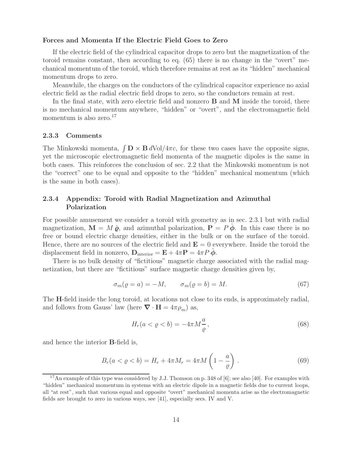### **Forces and Momenta If the Electric Field Goes to Zero**

If the electric field of the cylindrical capacitor drops to zero but the magnetization of the toroid remains constant, then according to eq. (65) there is no change in the "overt" mechanical momentum of the toroid, which therefore remains at rest as its "hidden" mechanical momentum drops to zero.

Meanwhile, the charges on the conductors of the cylindrical capacitor experience no axial electric field as the radial electric field drops to zero, so the conductors remain at rest.

In the final state, with zero electric field and nonzero **B** and **M** inside the toroid, there is no mechanical momentum anywhere, "hidden" or "overt", and the electromagnetic field momentum is also zero. $17$ 

#### **2.3.3 Comments**

The Minkowski momenta,  $\int \mathbf{D} \times \mathbf{B} dVol/4\pi c$ , for these two cases have the opposite signs, yet the microscopic electromagnetic field momenta of the magnetic dipoles is the same in both cases. This reinforces the conclusion of sec. 2.2 that the Minkowski momentum is not the "correct" one to be equal and opposite to the "hidden" mechanical momentum (which is the same in both cases).

### **2.3.4 Appendix: Toroid with Radial Magnetization and Azimuthal Polarization**

For possible amusement we consider a toroid with geometry as in sec. 2.3.1 but with radial magnetization,  $\mathbf{M} = M \hat{\boldsymbol{\varrho}}$ , and azimuthal polarization,  $\mathbf{P} = P \hat{\boldsymbol{\varphi}}$ . In this case there is no free or bound electric charge densities, either in the bulk or on the surface of the toroid. Hence, there are no sources of the electric field and  $\mathbf{E} = 0$  everywhere. Inside the toroid the displacement field in nonzero,  $\mathbf{D}_{\text{interior}} = \mathbf{E} + 4\pi \mathbf{P} = 4\pi P \phi$ .

There is no bulk density of "fictitious" magnetic charge associated with the radial magnetization, but there are "fictitious" surface magnetic charge densities given by,

$$
\sigma_m(\varrho = a) = -M, \qquad \sigma_m(\varrho = b) = M. \tag{67}
$$

The **H**-field inside the long toroid, at locations not close to its ends, is approximately radial, and follows from Gauss' law (here  $\nabla \cdot \mathbf{H} = 4\pi \rho_m$ ) as,

$$
H_r(a < \varrho < b) = -4\pi M \frac{a}{\varrho},\tag{68}
$$

and hence the interior **B**-field is,

$$
B_r(a < \varrho < b) = H_r + 4\pi M_r = 4\pi M \left( 1 - \frac{a}{\varrho} \right) \,. \tag{69}
$$

<sup>&</sup>lt;sup>17</sup>An example of this type was considered by J.J. Thomson on p. 348 of [6]; see also [40]. For examples with "hidden" mechanical momentum in systems with an electric dipole in a magnetic fields due to current loops, all "at rest", such that various equal and opposite "overt" mechanical momenta arise as the electromagnetic fields are brought to zero in various ways, see [41], especially secs. IV and V.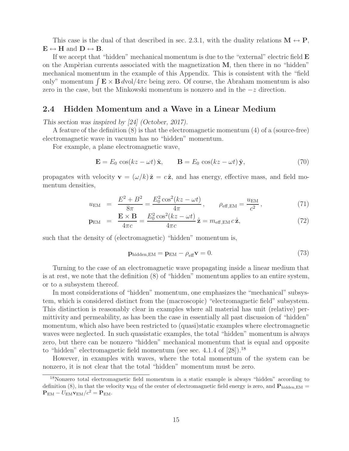This case is the dual of that described in sec. 2.3.1, with the duality relations  $\mathbf{M} \leftrightarrow \mathbf{P}$ ,  $\mathbf{E} \leftrightarrow \mathbf{H}$  and  $\mathbf{D} \leftrightarrow \mathbf{B}$ .

If we accept that "hidden" mechanical momentum is due to the "external" electric field **E** on the Ampèrian currents associated with the magnetization **M**, then there in no "hidden" mechanical momentum in the example of this Appendix. This is consistent with the "field only" momentum  $\int \mathbf{E} \times \mathbf{B} dvol/4\pi c$  being zero. Of course, the Abraham momentum is also zero in the case, but the Minkowski momentum is nonzero and in the <sup>−</sup><sup>z</sup> direction.

### **2.4 Hidden Momentum and a Wave in a Linear Medium**

*This section was inspired by [24] (October, 2017).*

A feature of the definition (8) is that the electromagnetic momentum (4) of a (source-free) electromagnetic wave in vacuum has no "hidden" momentum.

For example, a plane electromagnetic wave,

$$
\mathbf{E} = E_0 \cos(kz - \omega t) \hat{\mathbf{x}}, \qquad \mathbf{B} = E_0 \cos(kz - \omega t) \hat{\mathbf{y}}, \tag{70}
$$

propagates with velocity  $\mathbf{v} = (\omega/k)\hat{\mathbf{z}} = c\hat{\mathbf{z}}$ , and has energy, effective mass, and field momentum densities,

$$
u_{\rm EM} = \frac{E^2 + B^2}{8\pi} = \frac{E_0^2 \cos^2(kz - \omega t)}{4\pi}, \qquad \rho_{\rm eff, EM} = \frac{u_{\rm EM}}{c^2}, \tag{71}
$$

$$
\mathbf{p}_{\rm EM} = \frac{\mathbf{E} \times \mathbf{B}}{4\pi c} = \frac{E_0^2 \cos^2(kz - \omega t)}{4\pi c} \hat{\mathbf{z}} = m_{\rm eff, EM} c \hat{\mathbf{z}},\tag{72}
$$

such that the density of (electromagnetic) "hidden" momentum is,

$$
\mathbf{p}_{\text{hidden,EM}} = \mathbf{p}_{\text{EM}} - \rho_{\text{eff}} \mathbf{v} = 0. \tag{73}
$$

Turning to the case of an electromagnetic wave propagating inside a linear medium that is at rest, we note that the definition (8) of "hidden" momentum applies to an entire system, or to a subsystem thereof.

In most considerations of "hidden" momentum, one emphasizes the "mechanical" subsystem, which is considered distinct from the (macroscopic) "electromagnetic field" subsystem. This distinction is reasonably clear in examples where all material has unit (relative) permittivity and permeability, as has been the case in essentially all past discussion of "hidden" momentum, which also have been restricted to (quasi)static examples where electromagnetic waves were neglected. In such quasistatic examples, the total "hidden" momentum is always zero, but there can be nonzero "hidden" mechanical momentum that is equal and opposite to "hidden" electromagnetic field momentum (see sec.  $4.1.4$  of  $[28]$ ).<sup>18</sup>

However, in examples with waves, where the total momentum of the system can be nonzero, it is not clear that the total "hidden" momentum must be zero.

<sup>18</sup>Nonzero total electromagnetic field momentum in a static example is always "hidden" according to definition (8), in that the velocity  $\mathbf{v}_{EM}$  of the center of electromagnetic field energy is zero, and  $\mathbf{P}_{hidden, EM}$  $\mathbf{P}_{\text{EM}} - U_{\text{EM}} \mathbf{v}_{\text{EM}}/c^2 = \mathbf{P}_{\text{EM}}.$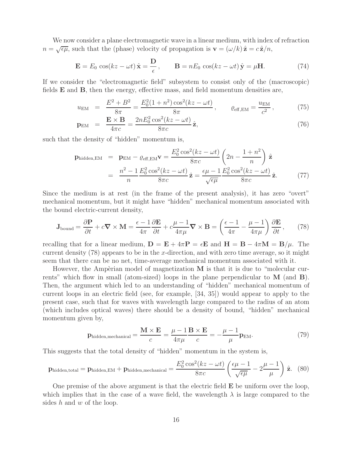We now consider a plane electromagnetic wave in a linear medium, with index of refraction  $n = \sqrt{\epsilon \mu}$ , such that the (phase) velocity of propagation is  $\mathbf{v} = (\omega/k) \hat{\mathbf{z}} = c \hat{\mathbf{z}}/n$ ,

$$
\mathbf{E} = E_0 \cos(kz - \omega t) \hat{\mathbf{x}} = \frac{\mathbf{D}}{\epsilon}, \qquad \mathbf{B} = nE_0 \cos(kz - \omega t) \hat{\mathbf{y}} = \mu \mathbf{H}.
$$
 (74)

If we consider the "electromagnetic field" subsystem to consist only of the (macroscopic) fields **E** and **B**, then the energy, effective mass, and field momentum densities are,

$$
u_{\rm EM} = \frac{E^2 + B^2}{8\pi} = \frac{E_0^2 (1 + n^2) \cos^2(kz - \omega t)}{8\pi}, \qquad \varrho_{\rm eff, EM} = \frac{u_{\rm EM}}{c^2}, \tag{75}
$$

$$
\mathbf{p}_{\text{EM}} = \frac{\mathbf{E} \times \mathbf{B}}{4\pi c} = \frac{2nE_0^2 \cos^2(kz - \omega t)}{8\pi c} \hat{\mathbf{z}},\tag{76}
$$

such that the density of "hidden" momentum is,

$$
\mathbf{p}_{\text{hidden,EM}} = \mathbf{p}_{\text{EM}} - \varrho_{\text{eff,EM}} \mathbf{v} = \frac{E_0^2 \cos^2(kz - \omega t)}{8\pi c} \left( 2n - \frac{1 + n^2}{n} \right) \hat{\mathbf{z}}
$$

$$
= \frac{n^2 - 1}{n} \frac{E_0^2 \cos^2(kz - \omega t)}{8\pi c} \hat{\mathbf{z}} = \frac{\epsilon \mu - 1}{\sqrt{\epsilon \mu}} \frac{E_0^2 \cos^2(kz - \omega t)}{8\pi c} \hat{\mathbf{z}}.
$$
(77)

Since the medium is at rest (in the frame of the present analysis), it has zero "overt" mechanical momentum, but it might have "hidden" mechanical momentum associated with the bound electric-current density,

$$
\mathbf{J}_{\text{bound}} = \frac{\partial \mathbf{P}}{\partial t} + c \nabla \times \mathbf{M} = \frac{\epsilon - 1}{4\pi} \frac{\partial \mathbf{E}}{\partial t} + c \frac{\mu - 1}{4\pi \mu} \nabla \times \mathbf{B} = \left(\frac{\epsilon - 1}{4\pi} - \frac{\mu - 1}{4\pi \mu}\right) \frac{\partial \mathbf{E}}{\partial t},\qquad(78)
$$

recalling that for a linear medium,  $\mathbf{D} = \mathbf{E} + 4\pi \mathbf{P} = \epsilon \mathbf{E}$  and  $\mathbf{H} = \mathbf{B} - 4\pi \mathbf{M} = \mathbf{B}/\mu$ . The current density  $(78)$  appears to be in the x-direction, and with zero time average, so it might seem that there can be no net, time-average mechanical momentum associated with it.

However, the Ampèrian model of magnetization  $M$  is that it is due to "molecular currents" which flow in small (atom-sized) loops in the plane perpendicular to **M** (and **B**). Then, the argument which led to an understanding of "hidden" mechanical momentum of current loops in an electric field (see, for example, [34, 35]) would appear to apply to the present case, such that for waves with wavelength large compared to the radius of an atom (which includes optical waves) there should be a density of bound, "hidden" mechanical momentum given by,

$$
\mathbf{p}_{\text{hidden, mechanical}} = \frac{\mathbf{M} \times \mathbf{E}}{c} = \frac{\mu - 1}{4\pi\mu} \frac{\mathbf{B} \times \mathbf{E}}{c} = -\frac{\mu - 1}{\mu} \mathbf{p}_{\text{EM}}.
$$
 (79)

This suggests that the total density of "hidden" momentum in the system is,

$$
\mathbf{p}_{\text{hidden,total}} = \mathbf{p}_{\text{hidden,EM}} + \mathbf{p}_{\text{hidden,mechanical}} = \frac{E_0^2 \cos^2(kz - \omega t)}{8\pi c} \left(\frac{\epsilon \mu - 1}{\sqrt{\epsilon \mu}} - 2\frac{\mu - 1}{\mu}\right) \hat{\mathbf{z}}. \tag{80}
$$

One premise of the above argument is that the electric field **E** be uniform over the loop, which implies that in the case of a wave field, the wavelength  $\lambda$  is large compared to the sides  $h$  and  $w$  of the loop.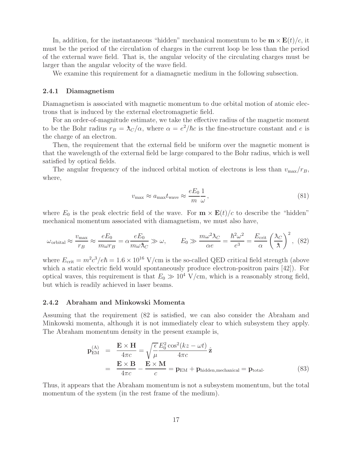In, addition, for the instantaneous "hidden" mechanical momentum to be  $\mathbf{m} \times \mathbf{E}(t)/c$ , it must be the period of the circulation of charges in the current loop be less than the period of the external wave field. That is, the angular velocity of the circulating charges must be larger than the angular velocity of the wave field.

We examine this requirement for a diamagnetic medium in the following subsection.

#### **2.4.1 Diamagnetism**

Diamagnetism is associated with magnetic momentum to due orbital motion of atomic electrons that is induced by the external electromagnetic field.

For an order-of-magnitude estimate, we take the effective radius of the magnetic moment to be the Bohr radius  $r_B = \lambda_C/\alpha$ , where  $\alpha = e^2/\hbar c$  is the fine-structure constant and e is the charge of an electron.

Then, the requirement that the external field be uniform over the magnetic moment is that the wavelength of the external field be large compared to the Bohr radius, which is well satisfied by optical fields.

The angular frequency of the induced orbital motion of electrons is less than  $v_{\text{max}}/r_B$ , where,

$$
v_{\text{max}} \approx a_{\text{max}} t_{\text{wave}} \approx \frac{eE_0}{m} \frac{1}{\omega},\tag{81}
$$

where  $E_0$  is the peak electric field of the wave. For  $\mathbf{m} \times \mathbf{E}(t)/c$  to describe the "hidden" mechanical momentum associated with diamagnetism, we must also have,

$$
\omega_{\text{orbital}} \approx \frac{v_{\text{max}}}{r_B} \approx \frac{eE_0}{m\omega r_B} = \alpha \frac{eE_0}{m\omega \lambda_C} \gg \omega, \qquad E_0 \gg \frac{m\omega^2 \lambda_C}{\alpha e} = \frac{\hbar^2 \omega^2}{e^3} = \frac{E_{\text{crit}}}{\alpha} \left(\frac{\lambda_C}{\lambda}\right)^2, \tag{82}
$$

where  $E_{\text{crit}} = m^2 c^3 / e \hbar = 1.6 \times 10^{16} \text{ V/cm}$  is the so-called QED critical field strength (above which a static electric field would spontaneously produce electron-positron pairs [42]). For optical waves, this requirement is that  $E_0 \gg 10^4$  V/cm, which is a reasonably strong field, but which is readily achieved in laser beams.

#### **2.4.2 Abraham and Minkowski Momenta**

Assuming that the requirement (82 is satisfied, we can also consider the Abraham and Minkowski momenta, although it is not immediately clear to which subsystem they apply. The Abraham momentum density in the present example is,

$$
\mathbf{p}_{\text{EM}}^{(\text{A})} = \frac{\mathbf{E} \times \mathbf{H}}{4\pi c} = \sqrt{\frac{\epsilon}{\mu}} \frac{E_0^2 \cos^2(kz - \omega t)}{4\pi c} \hat{\mathbf{z}}
$$
  
= 
$$
\frac{\mathbf{E} \times \mathbf{B}}{4\pi c} - \frac{\mathbf{E} \times \mathbf{M}}{c} = \mathbf{p}_{\text{EM}} + \mathbf{p}_{\text{hidden, mechanical}} = \mathbf{p}_{\text{total}}.
$$
 (83)

Thus, it appears that the Abraham momentum is not a subsystem momentum, but the total momentum of the system (in the rest frame of the medium).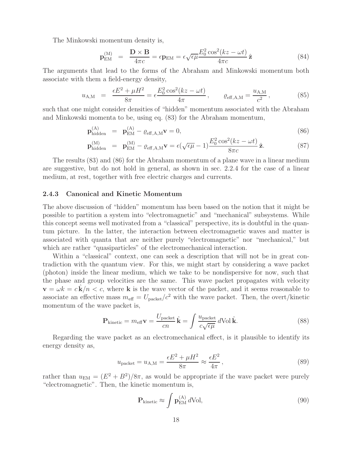The Minkowski momentum density is,

$$
\mathbf{p}_{\rm EM}^{(\rm M)} = \frac{\mathbf{D} \times \mathbf{B}}{4\pi c} = \epsilon \mathbf{p}_{\rm EM} = \epsilon \sqrt{\epsilon \mu} \frac{E_0^2 \cos^2(kz - \omega t)}{4\pi c} \hat{\mathbf{z}}
$$
(84)

The arguments that lead to the forms of the Abraham and Minkowski momentum both associate with them a field-energy density,

$$
u_{\rm A,M} = \frac{\epsilon E^2 + \mu H^2}{8\pi} = \epsilon \frac{E_0^2 \cos^2(kz - \omega t)}{4\pi}, \qquad \varrho_{\rm eff, A,M} = \frac{u_{\rm A,M}}{c^2},
$$
 (85)

such that one might consider densities of "hidden" momentum associated with the Abraham and Minkowski momenta to be, using eq. (83) for the Abraham momentum,

$$
\mathbf{p}_{\text{hidden}}^{(A)} = \mathbf{p}_{\text{EM}}^{(A)} - \varrho_{\text{eff},A,M} \mathbf{v} = 0, \tag{86}
$$

$$
\mathbf{p}_{\text{hidden}}^{(M)} = \mathbf{p}_{\text{EM}}^{(M)} - \varrho_{\text{eff},A,M} \mathbf{v} = \epsilon (\sqrt{\epsilon \mu} - 1) \frac{E_0^2 \cos^2(kz - \omega t)}{8\pi c} \hat{\mathbf{z}}.
$$
 (87)

The results (83) and (86) for the Abraham momentum of a plane wave in a linear medium are suggestive, but do not hold in general, as shown in sec. 2.2.4 for the case of a linear medium, at rest, together with free electric charges and currents.

#### **2.4.3 Canonical and Kinetic Momentum**

The above discussion of "hidden" momentum has been based on the notion that it might be possible to partition a system into "electromagnetic" and "mechanical" subsystems. While this concept seems well motivated from a "classical" perspective, its is doubtful in the quantum picture. In the latter, the interaction between electromagnetic waves and matter is associated with quanta that are neither purely "electromagnetic" nor "mechanical," but which are rather "quasiparticles" of the electromechanical interaction.

Within a "classical" context, one can seek a description that will not be in great contradiction with the quantum view. For this, we might start by considering a wave packet (photon) inside the linear medium, which we take to be nondispersive for now, such that the phase and group velocities are the same. This wave packet propagates with velocity  $\mathbf{v} = \omega k = c \mathbf{k}/n < c$ , where **k** is the wave vector of the packet, and it seems reasonable to associate an effective mass  $m_{\text{eff}} = U_{\text{packet}}/c^2$  with the wave packet. Then, the overt/kinetic momentum of the wave packet is,

$$
\mathbf{P}_{\text{kinetic}} = m_{\text{eff}} \mathbf{v} = \frac{U_{\text{packet}}}{cn} \hat{\mathbf{k}} = \int \frac{u_{\text{packet}}}{c\sqrt{\epsilon\mu}} d\text{Vol}\,\hat{\mathbf{k}}.\tag{88}
$$

Regarding the wave packet as an electromechanical effect, is it plausible to identify its energy density as,

$$
u_{\text{packet}} = u_{\text{A,M}} = \frac{\epsilon E^2 + \mu H^2}{8\pi} \approx \frac{\epsilon E^2}{4\pi},\tag{89}
$$

rather than  $u_{EM} = (E^2 + B^2)/8\pi$ , as would be appropriate if the wave packet were purely "electromagnetic". Then, the kinetic momentum is,

$$
\mathbf{P}_{\text{kinetic}} \approx \int \mathbf{p}_{\text{EM}}^{(A)} d\text{Vol},\tag{90}
$$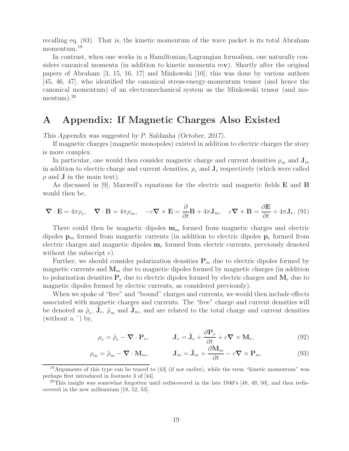recalling eq. (83). That is, the kinetic momentum of the wave packet is its total Abraham momentum.<sup>19</sup>

In contrast, when one works in a Hamiltonian/Lagrangian formalism, one naturally considers canonical momenta (in addition to kinetic momenta m**v**). Shortly after the original papers of Abraham [3, 15, 16, 17] and Minkowski [10], this was done by various authors [45, 46, 47], who identified the canonical stress-energy-momentum tensor (and hence the canonical momentum) of an electromechanical system as the Minkowski tensor (and momentum).<sup>20</sup>

## **A Appendix: If Magnetic Charges Also Existed**

*This Appendix was suggested by P. Saldanha (October, 2017).*

If magnetic charges (magnetic monopoles) existed in addition to electric charges the story is more complex.

In particular, one would then consider magnetic charge and current densities  $\rho_m$  and  $\mathbf{J}_m$ in addition to electric charge and current densities,  $\rho_e$  and  $\mathbf{J}_e$  respectively (which were called  $\rho$  and **J** in the main text).

As discussed in [9], Maxwell's equations for the electric and magnetic fields **E** and **B** would then be,

$$
\nabla \cdot \mathbf{E} = 4\pi \rho_e, \quad \nabla \cdot \mathbf{B} = 4\pi \rho_m, \quad -c\nabla \times \mathbf{E} = \frac{\partial}{\partial t} \mathbf{B} + 4\pi \mathbf{J}_m, \quad c\nabla \times \mathbf{B} = \frac{\partial \mathbf{E}}{\partial t} + 4\pi \mathbf{J}_e. \tag{91}
$$

There could then be magnetic dipoles  $\mathbf{m}_m$  formed from magnetic charges and electric dipoles  $\mathbf{p}_m$  formed from magnetic currents (in addition to electric dipoles  $\mathbf{p}_e$  formed from electric charges and magnetic dipoles **m**<sup>e</sup> formed from electric currents, previously denoted without the subscript  $e$ ).

Further, we should consider polarization densities  $P_m$  due to electric dipoles formed by magnetic currents and  $\mathbf{M}_m$  due to magnetic dipoles formed by magnetic charges (in addition to polarization densities  $P_e$  due to electric dipoles formed by electric charges and  $M_e$  due to magnetic dipoles formed by electric currents, as considered previously).

When we spoke of "free" and "bound" charges and currents, we would then include effects associated with magnetic charges and currents. The "free" charge and current densities will be denoted as  $\tilde{\rho}_e$ ,  $\mathbf{J}_e$ ,  $\tilde{\rho}_m$  and  $\mathbf{J}_m$ , and are related to the total charge and current densities (without a  $\tilde{\ }$ ) by,

$$
\rho_e = \tilde{\rho}_e - \mathbf{\nabla} \cdot \mathbf{P}_e, \qquad \mathbf{J}_e = \tilde{\mathbf{J}}_e + \frac{\partial \mathbf{P}_e}{\partial t} + c \mathbf{\nabla} \times \mathbf{M}_e,\tag{92}
$$

$$
\rho_m = \tilde{\rho}_m - \mathbf{\nabla} \cdot \mathbf{M}_m, \qquad \mathbf{J}_m = \tilde{\mathbf{J}}_m + \frac{\partial \mathbf{M}_m}{\partial t} - c \mathbf{\nabla} \times \mathbf{P}_m. \tag{93}
$$

<sup>19</sup>Arguments of this type can be traced to  $[43]$  (if not earlier), while the term "kinetic momentum" was perhaps first introduced in footnote 3 of [44].

<sup>&</sup>lt;sup>20</sup>This insight was somewhat forgotten until rediscovered in the late 1940's [48, 49, 50], and then rediscovered in the new millennium [18, 52, 53].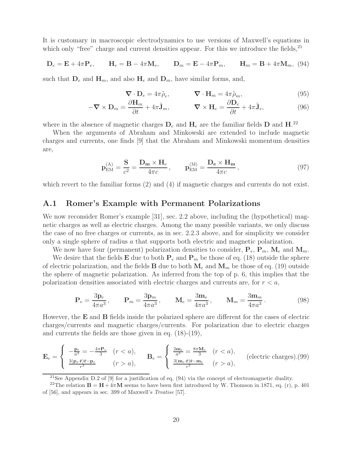It is customary in macroscopic electrodynamics to use versions of Maxwell's equations in which only "free" charge and current densities appear. For this we introduce the fields, $^{21}$ 

$$
\mathbf{D}_e = \mathbf{E} + 4\pi \mathbf{P}_e, \qquad \mathbf{H}_e = \mathbf{B} - 4\pi \mathbf{M}_e, \qquad \mathbf{D}_m = \mathbf{E} - 4\pi \mathbf{P}_m, \qquad \mathbf{H}_m = \mathbf{B} + 4\pi \mathbf{M}_m, \tag{94}
$$

such that  $D_e$  and  $H_m$ , and also  $H_e$  and  $D_m$ , have similar forms, and,

$$
\nabla \cdot \mathbf{D}_e = 4\pi \tilde{\rho}_e, \qquad \nabla \cdot \mathbf{H}_m = 4\pi \tilde{\rho}_m, \tag{95}
$$

$$
-\nabla \times \mathbf{D}_m = \frac{\partial \mathbf{H}_m}{\partial t} + 4\pi \tilde{\mathbf{J}}_m, \qquad \nabla \times \mathbf{H}_e = \frac{\partial \mathbf{D}_e}{\partial t} + 4\pi \tilde{\mathbf{J}}_e,\tag{96}
$$

where in the absence of magnetic charges  $D_e$  and  $H_e$  are the familiar fields  $D$  and  $H^{22}$ .

When the arguments of Abraham and Minkowski are extended to include magnetic charges and currents, one finds [9] that the Abraham and Minkowski momentum densities are,

$$
\mathbf{p}_{\text{EM}}^{(\text{A})} = \frac{\mathbf{S}}{c^2} = \frac{\mathbf{D_m} \times \mathbf{H}_e}{4\pi c}, \qquad \mathbf{p}_{\text{EM}}^{(\text{M})} = \frac{\mathbf{D_e} \times \mathbf{H_m}}{4\pi c}, \tag{97}
$$

which revert to the familiar forms (2) and (4) if magnetic charges and currents do not exist.

### **A.1 Romer's Example with Permanent Polarizations**

We now reconsider Romer's example [31], sec. 2.2 above, including the (hypothetical) magnetic charges as well as electric charges. Among the many possible variants, we only discuss the case of no free charges or currents, as in sec. 2.2.3 above, and for simplicity we consider only a single sphere of radius a that supports both electric and magnetic polarization.

We now have four (permanent) polarization densities to consider,  $P_e$ ,  $P_m$ ,  $M_e$  and  $M_m$ .

We desire that the fields **E** due to both  $P_e$  and  $P_m$  be those of eq. (18) outside the sphere of electric polarization, and the fields **B** due to both  $M_e$  and  $M_m$  be those of eq. (19) outside the sphere of magnetic polarization. As inferred from the top of p. 6, this implies that the polarization densities associated with electric charges and currents are, for  $r < a$ ,

$$
\mathbf{P}_e = \frac{3\mathbf{p}_e}{4\pi a^3}, \qquad \mathbf{P}_m = \frac{3\mathbf{p}_m}{4\pi a^3}, \qquad \mathbf{M}_e = \frac{3\mathbf{m}_e}{4\pi a^3}, \qquad \mathbf{M}_m = \frac{3\mathbf{m}_m}{4\pi a^3}.
$$
 (98)

However, the **E** and **B** fields inside the polarized sphere are different for the cases of electric charges/currents and magnetic charges/currents. For polarization due to electric charges and currents the fields are those given in eq. (18)-(19),

$$
\mathbf{E}_e = \begin{cases} -\frac{\mathbf{p}_e}{a^3} = -\frac{4\pi \mathbf{P}_e}{3} & (r < a), \\ \frac{3(\mathbf{p}_e \cdot \hat{\mathbf{r}})\hat{\mathbf{r}} - \mathbf{p}_e}{r^3} & (r > a), \end{cases} \quad \mathbf{B}_e = \begin{cases} \frac{2\mathbf{m}_e}{a^3} = \frac{8\pi \mathbf{M}_e}{3} & (r < a), \\ \frac{3(\mathbf{m}_e \cdot \hat{\mathbf{r}})\hat{\mathbf{r}} - \mathbf{m}_e}{r^3} & (r > a), \end{cases} \quad \text{(electric charges)}.\tag{99}
$$

<sup>&</sup>lt;sup>21</sup>See Appendix D.2 of [9] for a justification of eq.  $(94)$  via the concept of electromagnetic duality.

<sup>&</sup>lt;sup>22</sup>The relation  $\mathbf{B} = \mathbf{H} + 4\pi\mathbf{M}$  seems to have been first introduced by W. Thomson in 1871, eq. (r), p. 401 of [56], and appears in sec. 399 of Maxwell's *Treatise* [57].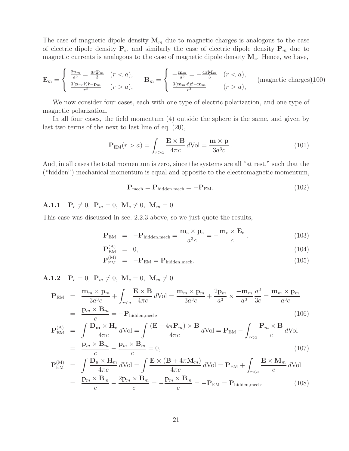The case of magnetic dipole density  $\mathbf{M}_m$  due to magnetic charges is analogous to the case of electric dipole density  $P_e$ , and similarly the case of electric dipole density  $P_m$  due to magnetic currents is analogous to the case of magnetic dipole density  $M_e$ . Hence, we have,

$$
\mathbf{E}_{m} = \begin{cases} \frac{2\mathbf{p}_{m}}{a^{3}} = \frac{8\pi \mathbf{P}_{m}}{3} & (r < a), \\ \frac{3(\mathbf{p}_{m} \cdot \hat{\mathbf{r}})\hat{\mathbf{r}} - \mathbf{p}_{m}}{r^{3}} & (r > a), \end{cases} \quad \mathbf{B}_{m} = \begin{cases} -\frac{\mathbf{m}_{m}}{a^{3}} = -\frac{4\pi \mathbf{M}_{m}}{3} & (r < a), \\ \frac{3(\mathbf{m}_{m} \cdot \hat{\mathbf{r}})\hat{\mathbf{r}} - \mathbf{m}_{m}}{r^{3}} & (r > a), \end{cases} \quad \text{(magnetic charges)} (100)
$$

We now consider four cases, each with one type of electric polarization, and one type of magnetic polarization.

In all four cases, the field momentum (4) outside the sphere is the same, and given by last two terms of the next to last line of eq. (20),

$$
\mathbf{P}_{\rm EM}(r > a) = \int_{r > a} \frac{\mathbf{E} \times \mathbf{B}}{4\pi c} d\text{Vol} = \frac{\mathbf{m} \times \mathbf{p}}{3a^3c}.
$$
 (101)

And, in all cases the total momentum is zero, since the systems are all "at rest," such that the ("hidden") mechanical momentum is equal and opposite to the electromagnetic momentum,

$$
\mathbf{P}_{\text{mech}} = \mathbf{P}_{\text{hidden,mech}} = -\mathbf{P}_{\text{EM}}.\tag{102}
$$

## **A.1.1**  $P_e \neq 0$ ,  $P_m = 0$ ,  $M_e \neq 0$ ,  $M_m = 0$

This case was discussed in sec. 2.2.3 above, so we just quote the results,

$$
\mathbf{P}_{\text{EM}} = -\mathbf{P}_{\text{hidden,mech}} = \frac{\mathbf{m}_e \times \mathbf{p}_e}{a^3 c} = -\frac{\mathbf{m}_e \times \mathbf{E}_e}{c},\tag{103}
$$

$$
\mathbf{P}_{\text{EM}}^{(\text{A})} = 0, \tag{104}
$$

$$
\mathbf{P}_{\text{EM}}^{(M)} = -\mathbf{P}_{\text{EM}} = \mathbf{P}_{\text{hidden,mech}}.
$$
 (105)

**A.1.2**  $P_e = 0$ ,  $P_m \neq 0$ ,  $M_e = 0$ ,  $M_m \neq 0$ 

$$
\mathbf{P}_{\text{EM}} = \frac{\mathbf{m}_m \times \mathbf{p}_m}{3a^3c} + \int_{r < a} \frac{\mathbf{E} \times \mathbf{B}}{4\pi c} d\text{Vol} = \frac{\mathbf{m}_m \times \mathbf{p}_m}{3a^3c} + \frac{2\mathbf{p}_m}{a^3} \times \frac{-\mathbf{m}_m}{a^3} \frac{a^3}{3c} = \frac{\mathbf{m}_m \times \mathbf{p}_m}{a^3c}
$$
\n
$$
= \frac{\mathbf{p}_m \times \mathbf{B}_m}{c} = -\mathbf{P}_{\text{hidden,mech}},\tag{106}
$$

$$
\mathbf{P}_{\text{EM}}^{(\text{A})} = \int \frac{\mathbf{D}_{\text{m}} \times \mathbf{H}_{e}}{4\pi c} d\text{Vol} = \int \frac{(\mathbf{E} - 4\pi \mathbf{P}_{m}) \times \mathbf{B}}{4\pi c} d\text{Vol} = \mathbf{P}_{\text{EM}} - \int_{r < a} \frac{\mathbf{P}_{m} \times \mathbf{B}}{c} d\text{Vol}
$$
\n
$$
= \frac{\mathbf{p}_{m} \times \mathbf{B}_{m}}{c} - \frac{\mathbf{p}_{m} \times \mathbf{B}_{m}}{c} = 0,\tag{107}
$$

$$
\mathbf{P}_{\text{EM}}^{(M)} = \int \frac{\mathbf{D}_{\text{e}} \times \mathbf{H}_{m}}{4\pi c} d\text{Vol} = \int \frac{\mathbf{E} \times (\mathbf{B} + 4\pi \mathbf{M}_{m})}{4\pi c} d\text{Vol} = \mathbf{P}_{\text{EM}} + \int_{r < a} \frac{\mathbf{E} \times \mathbf{M}_{m}}{c} d\text{Vol}
$$
\n
$$
= \frac{\mathbf{p}_{m} \times \mathbf{B}_{m}}{c} - \frac{2\mathbf{p}_{m} \times \mathbf{B}_{m}}{c} = -\frac{\mathbf{p}_{m} \times \mathbf{B}_{m}}{c} = -\mathbf{P}_{\text{EM}} = \mathbf{P}_{\text{hidden,mech}}.
$$
\n(108)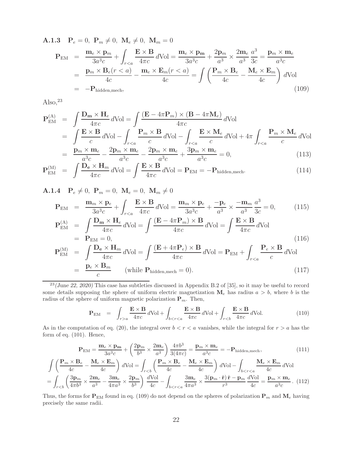**A.1.3**  $P_e = 0$ ,  $P_m \neq 0$ ,  $M_e \neq 0$ ,  $M_m = 0$ 

$$
\mathbf{P}_{\text{EM}} = \frac{\mathbf{m}_e \times \mathbf{p}_m}{3a^3c} + \int_{r < a} \frac{\mathbf{E} \times \mathbf{B}}{4\pi c} d\text{Vol} = \frac{\mathbf{m}_e \times \mathbf{p}_m}{3a^3c} + \frac{2\mathbf{p}_m}{a^3} \times \frac{2\mathbf{m}_e}{a^3} \frac{a^3}{3c} = \frac{\mathbf{p}_m \times \mathbf{m}_e}{a^3c}
$$
\n
$$
= \frac{\mathbf{p}_m \times \mathbf{B}_e(r < a)}{4c} - \frac{\mathbf{m}_e \times \mathbf{E}_m(r < a)}{4c} = \int \left(\frac{\mathbf{P}_m \times \mathbf{B}_e}{4c} - \frac{\mathbf{M}_e \times \mathbf{E}_m}{4c}\right) d\text{Vol}
$$
\n
$$
= -\mathbf{P}_{\text{hidden,mech}}, \tag{109}
$$

Also, $^{23}$ 

$$
\mathbf{P}_{\text{EM}}^{(\text{A})} = \int \frac{\mathbf{D}_{\text{m}} \times \mathbf{H}_{e}}{4\pi c} d\text{Vol} = \int \frac{(\mathbf{E} - 4\pi \mathbf{P}_{m}) \times (\mathbf{B} - 4\pi \mathbf{M}_{e})}{4\pi c} d\text{Vol} \n= \int \frac{\mathbf{E} \times \mathbf{B}}{c} d\text{Vol} - \int_{r < a} \frac{\mathbf{P}_{m} \times \mathbf{B}}{c} d\text{Vol} - \int_{r < a} \frac{\mathbf{E} \times \mathbf{M}_{e}}{c} d\text{Vol} + 4\pi \int_{r < a} \frac{\mathbf{P}_{m} \times \mathbf{M}_{e}}{c} d\text{Vol} \n= \frac{\mathbf{p}_{m} \times \mathbf{m}_{e}}{a^{3}c} - \frac{2\mathbf{p}_{m} \times \mathbf{m}_{e}}{a^{3}c} - \frac{2\mathbf{p}_{m} \times \mathbf{m}_{e}}{a^{3}c} + \frac{3\mathbf{p}_{m} \times \mathbf{m}_{e}}{a^{3}c} = 0,
$$
\n(113)

$$
\mathbf{P}_{\text{EM}}^{(M)} = \int \frac{\mathbf{D}_{\text{e}} \times \mathbf{H}_{m}}{4\pi c} d\text{Vol} = \int \frac{\mathbf{E} \times \mathbf{B}}{4\pi c} d\text{Vol} = \mathbf{P}_{\text{EM}} = -\mathbf{P}_{\text{hidden,mech}}.
$$
 (114)

**A.1.4**  $P_e \neq 0$ ,  $P_m = 0$ ,  $M_e = 0$ ,  $M_m \neq 0$ 

$$
\mathbf{P}_{\text{EM}} = \frac{\mathbf{m}_m \times \mathbf{p}_e}{3a^3c} + \int_{r < a} \frac{\mathbf{E} \times \mathbf{B}}{4\pi c} d\text{Vol} = \frac{\mathbf{m}_m \times \mathbf{p}_e}{3a^3c} + \frac{-\mathbf{p}_e}{a^3} \times \frac{-\mathbf{m}_m}{a^3} \frac{a^3}{3c} = 0,
$$
\n(115)\n
$$
\mathbf{P}_{\text{EM}}^{(\text{A})} = \int \frac{\mathbf{D}_m \times \mathbf{H}_e}{4\pi c} d\text{Vol} = \int \frac{(\mathbf{E} - 4\pi \mathbf{P}_m) \times \mathbf{B}}{4\pi c} d\text{Vol} = \int \frac{\mathbf{E} \times \mathbf{B}}{4\pi c} d\text{Vol}
$$

$$
= \mathbf{P}_{\text{EM}} = 0,
$$
\n
$$
\mathbf{P}_{\text{EM}}^{(M)} = \int \frac{\mathbf{D}_{\text{e}} \times \mathbf{H}_{m}}{4\pi c} d\text{Vol} = \int \frac{(\mathbf{E} + 4\pi \mathbf{P}_{e}) \times \mathbf{B}}{4\pi c} d\text{Vol} = \mathbf{P}_{\text{EM}} + \int_{r < a} \frac{\mathbf{P}_{e} \times \mathbf{B}}{c} d\text{Vol}
$$
\n(116)

$$
= \frac{\mathbf{p}_e \times \mathbf{B}_m}{c} \qquad \text{(while } \mathbf{P}_{\text{hidden,mech}} = 0\text{)}.
$$
 (117)

<sup>23</sup>(June 22, 2020) This case has subtleties discussed in Appendix B.2 of [35], so it may be useful to record some details supposing the sphere of uniform electric magnetization  $M_e$  has radius  $a > b$ , where b is the radius of the sphere of uniform magnetic polarization  $P_m$ . Then,

$$
\mathbf{P}_{\text{EM}} = \int_{r>a} \frac{\mathbf{E} \times \mathbf{B}}{4\pi c} d\text{Vol} + \int_{b < r < a} \frac{\mathbf{E} \times \mathbf{B}}{4\pi c} d\text{Vol} + \int_{r < b} \frac{\mathbf{E} \times \mathbf{B}}{4\pi c} d\text{Vol}. \tag{110}
$$

As in the computation of eq. (20), the integral over  $b < r < a$  vanishes, while the integral for  $r > a$  has the form of eq. (101). Hence,

$$
\mathbf{P}_{\rm EM} = \frac{\mathbf{m}_e \times \mathbf{p_m}}{3a^3c} + \left(\frac{2\mathbf{p}_m}{b^3} \times \frac{2\mathbf{m}_e}{a^3}\right) \frac{4\pi b^3}{3(4\pi c)} = \frac{\mathbf{p}_m \times \mathbf{m}_e}{a^3c} = -\mathbf{P}_{\rm hidden, mech},\tag{111}
$$

$$
\int \left(\frac{\mathbf{P}_m \times \mathbf{B}_e}{4c} - \frac{\mathbf{M}_e \times \mathbf{E}_m}{4c}\right) d\text{Vol} = \int_{r
$$
= \int_{r(112)
$$
$$

Thus, the forms for  $P_{EM}$  found in eq. (109) do not depend on the spheres of polarization  $P_m$  and  $M_e$  having precisely the same radii.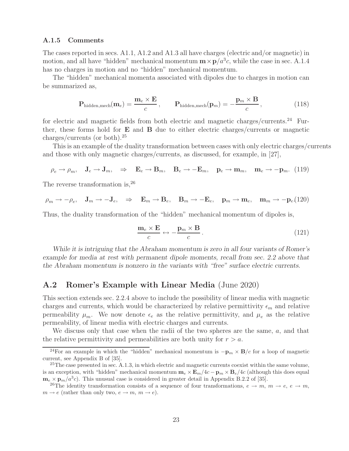#### **A.1.5 Comments**

The cases reported in secs. A1.1, A1.2 and A1.3 all have charges (electric and/or magnetic) in motion, and all have "hidden" mechanical momentum  $\mathbf{m} \times \mathbf{p}/a^3c$ , while the case in sec. A.1.4 has no charges in motion and no "hidden" mechanical momentum.

The "hidden" mechanical momenta associated with dipoles due to charges in motion can be summarized as,

$$
\mathbf{P}_{\text{hidden,mech}}(\mathbf{m}_e) = \frac{\mathbf{m}_e \times \mathbf{E}}{c}, \qquad \mathbf{P}_{\text{hidden,mech}}(\mathbf{p}_m) = -\frac{\mathbf{p}_m \times \mathbf{B}}{c}, \qquad (118)
$$

for electric and magnetic fields from both electric and magnetic charges/currents.<sup>24</sup> Further, these forms hold for **E** and **B** due to either electric charges/currents or magnetic charges/currents (or both).<sup>25</sup>

This is an example of the duality transformation between cases with only electric charges/currents and those with only magnetic charges/currents, as discussed, for example, in [27],

$$
\rho_e \to \rho_m, \quad \mathbf{J}_e \to \mathbf{J}_m, \quad \Rightarrow \quad \mathbf{E}_e \to \mathbf{B}_m, \quad \mathbf{B}_e \to -\mathbf{E}_m, \quad \mathbf{p}_e \to \mathbf{m}_m, \quad \mathbf{m}_e \to -\mathbf{p}_m. \tag{119}
$$

The reverse transformation is,  $2^6$ 

$$
\rho_m \to -\rho_e, \quad \mathbf{J}_m \to -\mathbf{J}_e, \quad \Rightarrow \quad \mathbf{E}_m \to \mathbf{B}_e, \quad \mathbf{B}_m \to -\mathbf{E}_e, \quad \mathbf{p}_m \to \mathbf{m}_e, \quad \mathbf{m}_m \to -\mathbf{p}_e(120)
$$

Thus, the duality transformation of the "hidden" mechanical momentum of dipoles is,

$$
\frac{\mathbf{m}_e \times \mathbf{E}}{c} \leftrightarrow -\frac{\mathbf{p}_m \times \mathbf{B}}{c} \,. \tag{121}
$$

*While it is intriguing that the Abraham momentum is zero in all four variants of Romer's example for media at rest with permanent dipole moments, recall from sec. 2.2 above that the Abraham momentum is nonzero in the variants with "free" surface electric currents.*

## **A.2 Romer's Example with Linear Media** (June 2020)

This section extends sec. 2.2.4 above to include the possibility of linear media with magnetic charges and currents, which would be characterized by relative permittivity  $\epsilon_m$  and relative permeability  $\mu_m$ . We now denote  $\epsilon_e$  as the relative permittivity, and  $\mu_e$  as the relative permeability, of linear media with electric charges and currents.

We discuss only that case when the radii of the two spheres are the same,  $a$ , and that the relative permittivity and permeabilities are both unity for  $r > a$ .

<sup>&</sup>lt;sup>24</sup>For an example in which the "hidden" mechanical momentum is  $-\mathbf{p}_m \times \mathbf{B}/c$  for a loop of magnetic current, see Appendix B of [35].

 $^{25}$ The case presented in sec. A.1.3, in which electric and magnetic currents coexist within the same volume, is an exception, with "hidden" mechanical momentum  $\mathbf{m}_e \times \mathbf{E}_m/4c - \mathbf{p}_m \times \mathbf{B}_e/4c$  (although this does equal  $\mathbf{m}_e \times \mathbf{p}_m/a^3c$ . This unusual case is considered in greater detail in Appendix B.2.2 of [35].

<sup>&</sup>lt;sup>26</sup>The identity transformation consists of a sequence of four transformations,  $e \rightarrow m$ ,  $m \rightarrow e$ ,  $e \rightarrow m$ ,  $m \to e$  (rather than only two,  $e \to m$ ,  $m \to e$ ).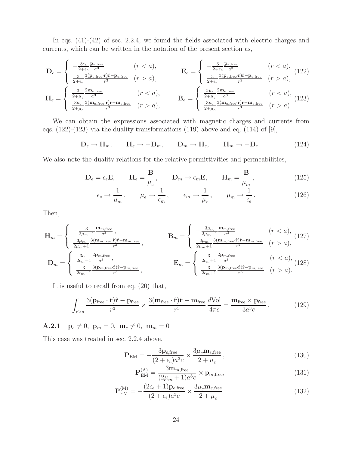In eqs.  $(41)-(42)$  of sec. 2.2.4, we found the fields associated with electric charges and currents, which can be written in the notation of the present section as,

$$
\mathbf{D}_{e} = \begin{cases} -\frac{3\epsilon_{e}}{2+\epsilon_{e}} \frac{\mathbf{p}_{e,\text{free}}}{a^{3}} & (r < a), \\ \frac{3}{2+\epsilon_{e}} \frac{3(\mathbf{p}_{e,\text{free}}\cdot\hat{\mathbf{r}})\hat{\mathbf{r}} - \mathbf{p}_{e,\text{free}}}{r^{3}} & (r > a), \end{cases} \qquad \mathbf{E}_{e} = \begin{cases} -\frac{3}{2+\epsilon_{e}} \frac{\mathbf{p}_{e,\text{free}}}{a^{3}} & (r < a), \\ \frac{3}{2+\epsilon_{e}} \frac{3(\mathbf{p}_{e,\text{free}}\cdot\hat{\mathbf{r}})\hat{\mathbf{r}} - \mathbf{p}_{e,\text{free}}}{r^{3}} & (r > a), \end{cases} (122)
$$

$$
\mathbf{H}_{e} = \begin{cases} \frac{3}{2+\mu_{e}} \frac{2\mathbf{m}_{e,\text{free}}}{a^{3}} & (r < a), \\ \frac{3\mu_{e}}{2+\mu_{e}} \frac{3(\mathbf{m}_{e,\text{free}}\cdot\hat{\mathbf{r}})\hat{\mathbf{r}} - \mathbf{m}_{e,\text{free}}}{r^{3}} & (r > a), \end{cases} \qquad \mathbf{B}_{e} = \begin{cases} \frac{3\mu_{e}}{2+\mu_{e}} \frac{2\mathbf{m}_{e,\text{free}}}{a^{3}} & (r < a), \\ \frac{3\mu_{e}}{2+\mu_{e}} \frac{3(\mathbf{m}_{e,\text{free}}\cdot\hat{\mathbf{r}})\hat{\mathbf{r}} - \mathbf{m}_{e,\text{free}}}{r^{3}} & (r > a). \end{cases} \tag{123}
$$

We can obtain the expressions associated with magnetic charges and currents from eqs.  $(122)-(123)$  via the duality transformations  $(119)$  above and eq.  $(114)$  of  $[9]$ ,

$$
\mathbf{D}_e \to \mathbf{H}_m, \qquad \mathbf{H}_e \to -\mathbf{D}_m, \qquad \mathbf{D}_m \to \mathbf{H}_e, \qquad \mathbf{H}_m \to -\mathbf{D}_e. \tag{124}
$$

We also note the duality relations for the relative permittivities and permeabilities,

$$
\mathbf{D}_e = \epsilon_e \mathbf{E}, \qquad \mathbf{H}_e = \frac{\mathbf{B}}{\mu_e}, \qquad \mathbf{D}_m \to \epsilon_m \mathbf{E}, \qquad \mathbf{H}_m = \frac{\mathbf{B}}{\mu_m}, \qquad (125)
$$

$$
\epsilon_e \to \frac{1}{\mu_m}, \qquad \mu_e \to \frac{1}{\epsilon_m}, \qquad \epsilon_m \to \frac{1}{\mu_e}, \qquad \mu_m \to \frac{1}{\epsilon_e}.
$$
\n(126)

Then,

$$
\mathbf{H}_{m} = \begin{cases}\n-\frac{3}{2\mu_{m}+1} \frac{\mathbf{m}_{m,\text{free}}}{a^{3}}, & \mathbf{B}_{m} = \begin{cases}\n-\frac{3\mu_{m}}{2\mu_{m}+1} \frac{\mathbf{m}_{m,\text{free}}}{a^{3}} & (r < a), \\
\frac{3\mu_{m}}{2\mu_{m}+1} \frac{3(\mathbf{m}_{m,\text{free}} \cdot \hat{\mathbf{r}})\hat{\mathbf{r}} - \mathbf{m}_{m,\text{free}}}{r^{3}}, & \mathbf{B}_{m} = \begin{cases}\n\frac{3\mu_{m}}{2\mu_{m}+1} \frac{3(\mathbf{m}_{m,\text{free}} \cdot \hat{\mathbf{r}})\hat{\mathbf{r}} - \mathbf{m}_{m,\text{free}}}{r^{3}}, & (127)\n\end{cases}\n\end{cases}
$$
\n
$$
\mathbf{D}_{m} = \begin{cases}\n\frac{3\epsilon_{m}}{2\epsilon_{m}+1} \frac{2\mathbf{p}_{m,\text{free}}}{a^{3}}, & \mathbf{E}_{m} = \begin{cases}\n\frac{3}{2\epsilon_{m}+1} \frac{2\mathbf{p}_{m,\text{free}}}{a^{3}}, & (r < a), \\
\frac{3}{2\epsilon_{m}+1} \frac{3(\mathbf{p}_{m,\text{free}} \cdot \hat{\mathbf{r}})\hat{\mathbf{r}} - \mathbf{p}_{m,\text{free}}}{r^{3}}, & (128)\n\end{cases}
$$

It is useful to recall from eq. (20) that,

$$
\int_{r>a} \frac{3(\mathbf{p}_{\text{free}} \cdot \hat{\mathbf{r}}) \hat{\mathbf{r}} - \mathbf{p}_{\text{free}}}{r^3} \times \frac{3(\mathbf{m}_{\text{free}} \cdot \hat{\mathbf{r}}) \hat{\mathbf{r}} - \mathbf{m}_{\text{free}}}{r^3} \frac{d\text{Vol}}{4\pi c} = \frac{\mathbf{m}_{\text{free}} \times \mathbf{p}_{\text{free}}}{3a^3c} \,. \tag{129}
$$

**A.2.1**  $\mathbf{p}_e \neq 0$ ,  $\mathbf{p}_m = 0$ ,  $\mathbf{m}_e \neq 0$ ,  $\mathbf{m}_m = 0$ 

This case was treated in sec. 2.2.4 above.

$$
\mathbf{P}_{\text{EM}} = -\frac{3\mathbf{p}_{e,\text{free}}}{(2+\epsilon_e)a^3c} \times \frac{3\mu_e \mathbf{m}_{e,\text{free}}}{2+\mu_e},\tag{130}
$$

$$
\mathbf{P}_{\text{EM}}^{(\text{A})} = \frac{3\mathbf{m}_{m,\text{free}}}{(2\mu_m + 1)a^3c} \times \mathbf{p}_{m,\text{free}},\tag{131}
$$

$$
\mathbf{P}_{\text{EM}}^{(\text{M})} = -\frac{(2\epsilon_e + 1)\mathbf{p}_{e,\text{free}}}{(2 + \epsilon_e)a^3c} \times \frac{3\mu_e \mathbf{m}_{e,\text{free}}}{2 + \mu_e}.
$$
 (132)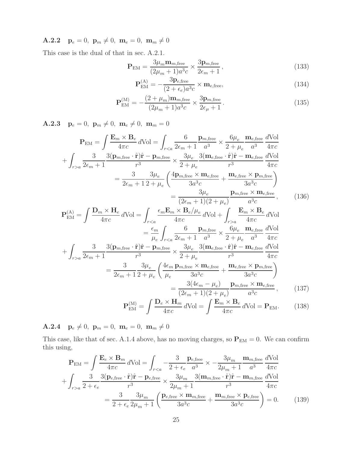**A.2.2**  $\mathbf{p}_e = 0$ ,  $\mathbf{p}_m \neq 0$ ,  $\mathbf{m}_e = 0$ ,  $\mathbf{m}_m \neq 0$ 

This case is the dual of that in sec. A.2.1.

$$
\mathbf{P}_{\text{EM}} = \frac{3\mu_m \mathbf{m}_{m,\text{free}}}{(2\mu_m + 1)a^3 c} \times \frac{3\mathbf{p}_{m,\text{free}}}{2\epsilon_m + 1},\tag{133}
$$

$$
\mathbf{P}_{\text{EM}}^{(\text{A})} = -\frac{3\mathbf{p}_{e,\text{free}}}{(2 + \epsilon_e)a^3c} \times \mathbf{m}_{e,\text{free}},\tag{134}
$$

$$
\mathbf{P}_{\text{EM}}^{(\text{M})} = -\frac{(2 + \mu_m)\mathbf{m}_{m,\text{free}}}{(2\mu_m + 1)a^3c} \times \frac{3\mathbf{p}_{m,\text{free}}}{2\epsilon_\mu + 1}.
$$
 (135)

**A.2.3**  $\mathbf{p}_e = 0$ ,  $\mathbf{p}_m \neq 0$ ,  $\mathbf{m}_e \neq 0$ ,  $\mathbf{m}_m = 0$ 

$$
\mathbf{P}_{\text{EM}} = \int \frac{\mathbf{E}_{m} \times \mathbf{B}_{e}}{4\pi c} d\text{Vol} = \int_{ra} \frac{3}{2\epsilon_{m}+1} \frac{3(\mathbf{p}_{m,\text{free}} \cdot \hat{\mathbf{r}})\hat{\mathbf{r}} - \mathbf{p}_{m,\text{free}}}{r^{3}} \times \frac{3\mu_{e}}{2+\mu_{e}} \frac{3(\mathbf{m}_{e,\text{free}} \cdot \hat{\mathbf{r}})\hat{\mathbf{r}} - \mathbf{m}_{e,\text{free}}}{r^{3}} \frac{d\text{Vol}}{4\pi c} \n= \frac{3}{2\epsilon_{m}+1} \frac{3\mu_{e}}{2+\mu_{e}} \left(\frac{4\mathbf{p}_{m,\text{free}} \times \mathbf{m}_{e,\text{free}}}{3a^{3}c} + \frac{\mathbf{m}_{e,\text{free}} \times \mathbf{p}_{m,\text{free}}}{3a^{3}c}\right) \n= \frac{3\mu_{e}}{(2\epsilon_{m}+1)(2+\mu_{e})} \frac{\mathbf{p}_{m,\text{free}} \times \mathbf{m}_{e,\text{free}}}{a^{3}c},
$$
\n(136)

$$
\mathbf{P}_{\text{EM}}^{(\text{A})} = \int \frac{\mathbf{D}_{m} \times \mathbf{H}_{e}}{4\pi c} d\text{Vol} = \int_{ra} \frac{\mathbf{E}_{m} \times \mathbf{B}_{e}}{4\pi c} d\text{Vol}
$$

$$
= \frac{\epsilon_{m}}{\mu_{e}} \int_{r
$$
+ \int_{r>a} \frac{3}{2\epsilon_{m} + 1} \frac{3(\mathbf{p}_{m, \text{free}} \cdot \hat{\mathbf{r}}) \hat{\mathbf{r}} - \mathbf{p}_{m, \text{free}}}{r^{3}} \times \frac{3\mu_{e}}{2 + \mu_{e}} \frac{3(\mathbf{m}_{e, \text{free}} \cdot \hat{\mathbf{r}}) \hat{\mathbf{r}} - \mathbf{m}_{e, \text{free}} d\text{Vol}}{4\pi c}
$$

$$
= \frac{3}{2\epsilon_{m} + 1} \frac{3\mu_{e}}{2 + \mu_{e}} \left( \frac{4\epsilon_{m} \mathbf{p}_{m, \text{free}} \times \mathbf{m}_{e, \text{free}}}{3a^{3}c} + \frac{\mathbf{m}_{e, \text{free}} \times \mathbf{p}_{m, \text{free}}}{3a^{3}c} \right)
$$

$$
= \frac{3(4\epsilon_{m} - \mu_{e})}{(2\epsilon_{m} + 1)(2 + \mu_{e})} \frac{\mathbf{p}_{m, \text{free}} \times \mathbf{m}_{e, \text{free}}}{a^{3}c}, \qquad (137)
$$
$$

$$
\mathbf{P}_{\text{EM}}^{(\text{M})} = \int \frac{\mathbf{D}_e \times \mathbf{H}_m}{4\pi c} d\text{Vol} = \int \frac{\mathbf{E}_m \times \mathbf{B}_e}{4\pi c} d\text{Vol} = \mathbf{P}_{\text{EM}}.\tag{138}
$$

**A.2.4**  $\mathbf{p}_e \neq 0$ ,  $\mathbf{p}_m = 0$ ,  $\mathbf{m}_e = 0$ ,  $\mathbf{m}_m \neq 0$ 

This case, like that of sec. A.1.4 above, has no moving charges, so  $P_{EM} = 0$ . We can confirm this using,

$$
\mathbf{P}_{\text{EM}} = \int \frac{\mathbf{E}_e \times \mathbf{B}_m}{4\pi c} d\text{Vol} = \int_{r < a} -\frac{3}{2 + \epsilon_e} \frac{\mathbf{p}_{e,\text{free}}}{a^3} \times -\frac{3\mu_m}{2\mu_m + 1} \frac{\mathbf{m}_{m,\text{free}}}{a^3} \frac{d\text{Vol}}{4\pi c} \n+ \int_{r > a} \frac{3}{2 + \epsilon_e} \frac{3(\mathbf{p}_{e,\text{free}} \cdot \hat{\mathbf{r}}) \hat{\mathbf{r}} - \mathbf{p}_{e,\text{free}}}{r^3} \times \frac{3\mu_m}{2\mu_m + 1} \frac{3(\mathbf{m}_{m,\text{free}} \cdot \hat{\mathbf{r}}) \hat{\mathbf{r}} - \mathbf{m}_{m,\text{free}}}{r^3} \frac{d\text{Vol}}{4\pi c} \n= \frac{3}{2 + \epsilon_e} \frac{3\mu_m}{2\mu_m + 1} \left( \frac{\mathbf{p}_{e,\text{free}} \times \mathbf{m}_{m,\text{free}}}{3a^3c} + \frac{\mathbf{m}_{m,\text{free}} \times \mathbf{p}_{e,\text{free}}}{3a^3c} \right) = 0. \tag{139}
$$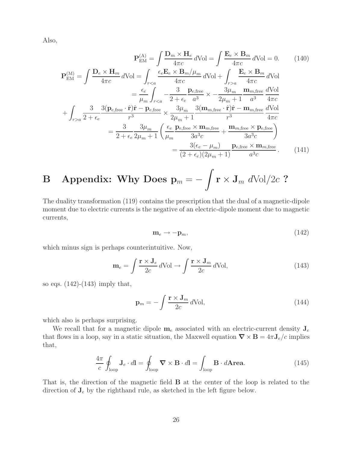Also,

$$
\mathbf{P}_{EM}^{(A)} = \int \frac{\mathbf{D}_m \times \mathbf{H}_e}{4\pi c} d\text{Vol} = \int \frac{\mathbf{E}_e \times \mathbf{B}_m}{4\pi c} d\text{Vol} = 0. \tag{140}
$$
\n
$$
\mathbf{P}_{EM}^{(M)} = \int \frac{\mathbf{D}_e \times \mathbf{H}_m}{4\pi c} d\text{Vol} = \int_{r < a} \frac{\epsilon_e \mathbf{E}_e \times \mathbf{B}_m / \mu_m}{4\pi c} d\text{Vol} + \int_{r > a} \frac{\mathbf{E}_e \times \mathbf{B}_m}{4\pi c} d\text{Vol}
$$
\n
$$
= \frac{\epsilon_e}{\mu_m} \int_{r < a} -\frac{3}{2 + \epsilon_e} \frac{\mathbf{p}_{e,\text{free}}}{a^3} \times -\frac{3\mu_m}{2\mu_m + 1} \frac{\mathbf{m}_{m,\text{free}}}{a^3} \frac{d\text{Vol}}{4\pi c}
$$
\n
$$
+ \int_{r > a} \frac{3}{2 + \epsilon_e} \frac{3(\mathbf{p}_{e,\text{free}} \cdot \hat{\mathbf{r}}) \hat{\mathbf{r}} - \mathbf{p}_{e,\text{free}}}{r^3} \times \frac{3\mu_m}{2\mu_m + 1} \frac{3(\mathbf{m}_{m,\text{free}} \cdot \hat{\mathbf{r}}) \hat{\mathbf{r}} - \mathbf{m}_{m,\text{free}}}{r^3} \frac{d\text{Vol}}{4\pi c}
$$
\n
$$
= \frac{3}{2 + \epsilon_e} \frac{3\mu_m}{2\mu_m + 1} \left( \frac{\epsilon_e}{\mu_m} \frac{\mathbf{p}_{e,\text{free}} \times \mathbf{m}_{m,\text{free}}}{3a^3c} + \frac{\mathbf{m}_{m,\text{free}} \times \mathbf{p}_{e,\text{free}}}{3a^3c} \right)
$$
\n
$$
= \frac{3(\epsilon_e - \mu_m)}{(2 + \epsilon_e)(2\mu_m + 1)} \frac{\mathbf{p}_{e,\text{free}} \times \mathbf{m}_{m,\text{free}}}{a^3c} . \tag{141}
$$

**B** Appendix: Why Does 
$$
\mathbf{p}_m = -\int \mathbf{r} \times \mathbf{J}_m \ d\text{Vol}/2c
$$
 ?

The duality transformation (119) contains the prescription that the dual of a magnetic-dipole moment due to electric currents is the negative of an electric-dipole moment due to magnetic currents,

$$
\mathbf{m}_e \to -\mathbf{p}_m,\tag{142}
$$

which minus sign is perhaps counterintuitive. Now,

$$
\mathbf{m}_e = \int \frac{\mathbf{r} \times \mathbf{J}_e}{2c} d\text{Vol} \to \int \frac{\mathbf{r} \times \mathbf{J}_m}{2c} d\text{Vol},\tag{143}
$$

so eqs.  $(142)$ - $(143)$  imply that,

$$
\mathbf{p}_m = -\int \frac{\mathbf{r} \times \mathbf{J}_m}{2c} d\text{Vol},\tag{144}
$$

which also is perhaps surprising.

We recall that for a magnetic dipole  $m_e$  associated with an electric-current density  $J_e$ that flows in a loop, say in a static situation, the Maxwell equation  $\nabla \times \mathbf{B} = 4\pi \mathbf{J}_e/c$  implies that,

$$
\frac{4\pi}{c} \oint_{\text{loop}} \mathbf{J}_e \cdot d\mathbf{l} = \oint_{\text{loop}} \mathbf{\nabla} \times \mathbf{B} \cdot d\mathbf{l} = \int_{\text{loop}} \mathbf{B} \cdot d\mathbf{A} \mathbf{rea.} \tag{145}
$$

That is, the direction of the magnetic field **B** at the center of the loop is related to the direction of  $J_e$  by the righthand rule, as sketched in the left figure below.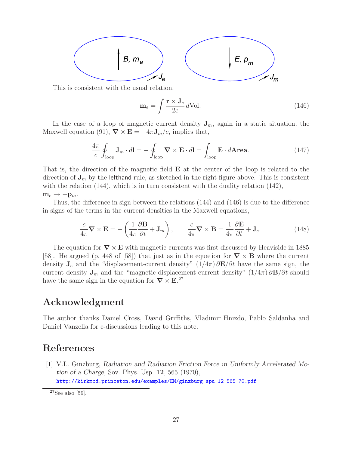

This is consistent with the usual relation,

$$
\mathbf{m}_e = \int \frac{\mathbf{r} \times \mathbf{J}_e}{2c} \, d\text{Vol.} \tag{146}
$$

In the case of a loop of magnetic current density  $J_m$ , again in a static situation, the Maxwell equation (91),  $\nabla \times \mathbf{E} = -4\pi \mathbf{J}_m/c$ , implies that,

$$
\frac{4\pi}{c} \oint_{\text{loop}} \mathbf{J}_m \cdot d\mathbf{l} = -\oint_{\text{loop}} \mathbf{\nabla} \times \mathbf{E} \cdot d\mathbf{l} = \int_{\text{loop}} \mathbf{E} \cdot d\mathbf{Area}.
$$
 (147)

That is, the direction of the magnetic field **E** at the center of the loop is related to the direction of  $J_m$  by the lefthand rule, as sketched in the right figure above. This is consistent with the relation (144), which is in turn consistent with the duality relation (142),  $m_e \rightarrow -p_m$ .

Thus, the difference in sign between the relations (144) and (146) is due to the difference in signs of the terms in the current densities in the Maxwell equations,

$$
\frac{c}{4\pi}\nabla \times \mathbf{E} = -\left(\frac{1}{4\pi}\frac{\partial \mathbf{B}}{\partial t} + \mathbf{J}_m\right), \qquad \frac{c}{4\pi}\nabla \times \mathbf{B} = \frac{1}{4\pi}\frac{\partial \mathbf{E}}{\partial t} + \mathbf{J}_e.
$$
 (148)

The equation for  $\nabla \times \mathbf{E}$  with magnetic currents was first discussed by Heaviside in 1885 [58]. He argued (p. 448 of [58]) that just as in the equation for *∇* × **B** where the current density **J**<sup>e</sup> and the "displacement-current density" (1/4π) ∂**E**/∂t have the same sign, the current density  $J_m$  and the "magnetic-displacement-current density" (1/4π)  $\partial \mathbf{B}/\partial t$  should have the same sign in the equation for  $\nabla \times \mathbf{E}^{27}$ 

## **Acknowledgment**

The author thanks Daniel Cross, David Griffiths, Vladimir Hnizdo, Pablo Saldanha and Daniel Vanzella for e-discussions leading to this note.

## **References**

[1] V.L. Ginzburg, *Radiation and Radiation Friction Force in Uniformly Accelerated Motion of a Charge*, Sov. Phys. Usp. **12**, 565 (1970), http://kirkmcd.princeton.edu/examples/EM/ginzburg\_spu\_12\_565\_70.pdf

 $27$ See also [59].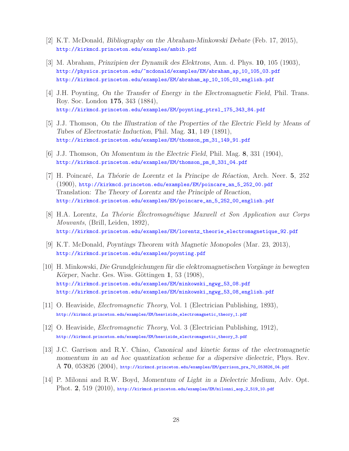- [2] K.T. McDonald, *Bibliography on the Abraham-Minkowski Debate* (Feb. 17, 2015), http://kirkmcd.princeton.edu/examples/ambib.pdf
- [3] M. Abraham, *Prinzipien der Dynamik des Elektrons*, Ann. d. Phys. **10**, 105 (1903), http://physics.princeton.edu/~mcdonald/examples/EM/abraham\_ap\_10\_105\_03.pdf http://kirkmcd.princeton.edu/examples/EM/abraham\_ap\_10\_105\_03\_english.pdf
- [4] J.H. Poynting, *On the Transfer of Energy in the Electromagnetic Field*, Phil. Trans. Roy. Soc. London **175**, 343 (1884), http://kirkmcd.princeton.edu/examples/EM/poynting\_ptrsl\_175\_343\_84.pdf
- [5] J.J. Thomson, *On the Illustration of the Properties of the Electric Field by Means of Tubes of Electrostatic Induction*, Phil. Mag. **31**, 149 (1891), http://kirkmcd.princeton.edu/examples/EM/thomson\_pm\_31\_149\_91.pdf
- [6] J.J. Thomson, *On Momentum in the Electric Field*, Phil. Mag. **8**, 331 (1904), http://kirkmcd.princeton.edu/examples/EM/thomson\_pm\_8\_331\_04.pdf
- [7] H. Poincar´e, *La Th´eorie de Lorentz et la Principe de R´eaction*, Arch. Neer. **5**, 252 (1900), http://kirkmcd.princeton.edu/examples/EM/poincare\_an\_5\_252\_00.pdf Translation: *The Theory of Lorentz and the Principle of Reaction*, http://kirkmcd.princeton.edu/examples/EM/poincare\_an\_5\_252\_00\_english.pdf
- [8] H.A. Lorentz, *La Th´eorie Electromagn´ ´ etique Maxwell et Son Application aux Corps Mouvants*, (Brill, Leiden, 1892), http://kirkmcd.princeton.edu/examples/EM/lorentz\_theorie\_electromagnetique\_92.pdf
- [9] K.T. McDonald, *Poyntings Theorem with Magnetic Monopoles* (Mar. 23, 2013), http://kirkmcd.princeton.edu/examples/poynting.pdf
- [10] H. Minkowski, *Die Grundgleichungen für die elektromagnetischen Vorgänge in bewegten Körper*, Nachr. Ges. Wiss. Göttingen **1**, 53 (1908), http://kirkmcd.princeton.edu/examples/EM/minkowski\_ngwg\_53\_08.pdf http://kirkmcd.princeton.edu/examples/EM/minkowski\_ngwg\_53\_08\_english.pdf
- [11] O. Heaviside, *Electromagnetic Theory*, Vol. 1 (Electrician Publishing, 1893), http://kirkmcd.princeton.edu/examples/EM/heaviside\_electromagnetic\_theory\_1.pdf
- [12] O. Heaviside, *Electromagnetic Theory*, Vol. 3 (Electrician Publishing, 1912), http://kirkmcd.princeton.edu/examples/EM/heaviside\_electromagnetic\_theory\_3.pdf
- [13] J.C. Garrison and R.Y. Chiao, *Canonical and kinetic forms of the electromagnetic momentum in an ad hoc quantization scheme for a dispersive dielectric*, Phys. Rev. A **70**, 053826 (2004), http://kirkmcd.princeton.edu/examples/EM/garrison\_pra\_70\_053826\_04.pdf
- [14] P. Milonni and R.W. Boyd, *Momentum of Light in a Dielectric Medium*, Adv. Opt. Phot. **2**, 519 (2010), http://kirkmcd.princeton.edu/examples/EM/milonni\_aop\_2\_519\_10.pdf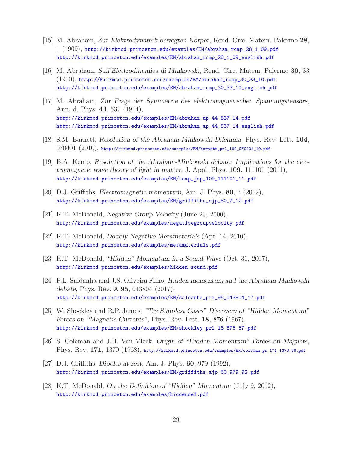- [15] M. Abraham, *Zur Elektrodynamik bewegten K¨orper*, Rend. Circ. Matem. Palermo **28**, 1 (1909), http://kirkmcd.princeton.edu/examples/EM/abraham\_rcmp\_28\_1\_09.pdf http://kirkmcd.princeton.edu/examples/EM/abraham\_rcmp\_28\_1\_09\_english.pdf
- [16] M. Abraham, *Sull'Elettrodinamica di Minkowski*, Rend. Circ. Matem. Palermo **30**, 33 (1910), http://kirkmcd.princeton.edu/examples/EM/abraham\_rcmp\_30\_33\_10.pdf http://kirkmcd.princeton.edu/examples/EM/abraham\_rcmp\_30\_33\_10\_english.pdf
- [17] M. Abraham, *Zur Frage der Symmetrie des elektromagnetischen Spannungstensors*, Ann. d. Phys. **44**, 537 (1914), http://kirkmcd.princeton.edu/examples/EM/abraham\_ap\_44\_537\_14.pdf http://kirkmcd.princeton.edu/examples/EM/abraham\_ap\_44\_537\_14\_english.pdf
- [18] S.M. Barnett, *Resolution of the Abraham-Minkowski Dilemma*, Phys. Rev. Lett. **104**,  $070401$   $(2010)$ , http://kirkmcd.princeton.edu/examples/EM/barnett\_prl\_104\_070401\_10.pdf
- [19] B.A. Kemp, *Resolution of the Abraham-Minkowski debate: Implications for the electromagnetic wave theory of light in matter*, J. Appl. Phys. **109**, 111101 (2011), http://kirkmcd.princeton.edu/examples/EM/kemp\_jap\_109\_111101\_11.pdf
- [20] D.J. Griffiths, *Electromagnetic momentum*, Am. J. Phys. **80**, 7 (2012), http://kirkmcd.princeton.edu/examples/EM/griffiths\_ajp\_80\_7\_12.pdf
- [21] K.T. McDonald, *Negative Group Velocity* (June 23, 2000), http://kirkmcd.princeton.edu/examples/negativegroupvelocity.pdf
- [22] K.T. McDonald, *Doubly Negative Metamaterials* (Apr. 14, 2010), http://kirkmcd.princeton.edu/examples/metamaterials.pdf
- [23] K.T. McDonald, *"Hidden" Momentum in a Sound Wave* (Oct. 31, 2007), http://kirkmcd.princeton.edu/examples/hidden\_sound.pdf
- [24] P.L. Saldanha and J.S. Oliveira Filho, *Hidden momentum and the Abraham-Minkowski debate*, Phys. Rev. A **95**, 043804 (2017), http://kirkmcd.princeton.edu/examples/EM/saldanha\_pra\_95\_043804\_17.pdf
- [25] W. Shockley and R.P. James, *"Try Simplest Cases" Discovery of "Hidden Momentum" Forces on "Magnetic Currents"*, Phys. Rev. Lett. **18**, 876 (1967), http://kirkmcd.princeton.edu/examples/EM/shockley\_prl\_18\_876\_67.pdf
- [26] S. Coleman and J.H. Van Vleck, *Origin of "Hidden Momentum" Forces on Magnets*, Phys. Rev. **171**, 1370 (1968), http://kirkmcd.princeton.edu/examples/EM/coleman\_pr\_171\_1370\_68.pdf
- [27] D.J. Griffiths, *Dipoles at rest*, Am. J. Phys. **60**, 979 (1992), http://kirkmcd.princeton.edu/examples/EM/griffiths\_ajp\_60\_979\_92.pdf
- [28] K.T. McDonald, *On the Definition of "Hidden" Momentum* (July 9, 2012), http://kirkmcd.princeton.edu/examples/hiddendef.pdf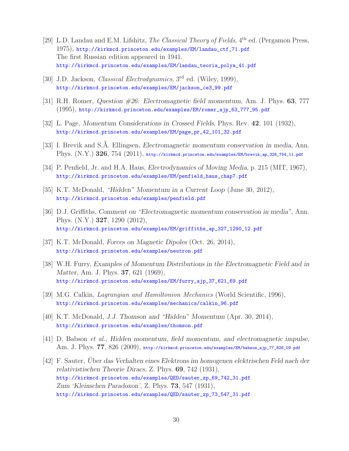- [29] L.D. Landau and E.M. Lifshitz, *The Classical Theory of Fields*, 4th ed. (Pergamon Press, 1975), http://kirkmcd.princeton.edu/examples/EM/landau\_ctf\_71.pdf The first Russian edition appeared in 1941. http://kirkmcd.princeton.edu/examples/EM/landau\_teoria\_polya\_41.pdf
- [30] J.D. Jackson, *Classical Electrodynamics*, 3rd ed. (Wiley, 1999), http://kirkmcd.princeton.edu/examples/EM/jackson\_ce3\_99.pdf
- [31] R.H. Romer, *Question #26: Electromagnetic field momentum*, Am. J. Phys. **63**, 777 (1995), http://kirkmcd.princeton.edu/examples/EM/romer\_ajp\_63\_777\_95.pdf
- [32] L. Page, *Momentum Considerations in Crossed Fields*, Phys. Rev. **42**, 101 (1932), http://kirkmcd.princeton.edu/examples/EM/page\_pr\_42\_101\_32.pdf
- [33] I. Brevik and S.Å. Ellingsen, *Electromagnetic momentum conservation in media*, Ann. Phys. (N.Y.) 326, 754 (2011), http://kirkmcd.princeton.edu/examples/EM/brevik\_ap\_326\_754\_11.pdf
- [34] P. Penfield, Jr. and H.A. Haus, *Electrodynamics of Moving Media*, p. 215 (MIT, 1967), http://kirkmcd.princeton.edu/examples/EM/penfield\_haus\_chap7.pdf
- [35] K.T. McDonald, *"Hidden" Momentum in a Current Loop* (June 30, 2012), http://kirkmcd.princeton.edu/examples/penfield.pdf
- [36] D.J. Griffiths, *Comment on "Electromagnetic momentum conservation in media"*, Ann. Phys. (N.Y.) **327**, 1290 (2012), http://kirkmcd.princeton.edu/examples/EM/griffiths\_ap\_327\_1290\_12.pdf
- [37] K.T. McDonald, *Forces on Magnetic Dipoles* (Oct. 26, 2014), http://kirkmcd.princeton.edu/examples/neutron.pdf
- [38] W.H. Furry, *Examples of Momentum Distributions in the Electromagnetic Field and in Matter*, Am. J. Phys. **37**, 621 (1969), http://kirkmcd.princeton.edu/examples/EM/furry\_ajp\_37\_621\_69.pdf
- [39] M.G. Calkin, *Lagrangian and Hamiltonion Mechanics* (World Scientific, 1996), http://kirkmcd.princeton.edu/examples/mechanics/calkin\_96.pdf
- [40] K.T. McDonald, *J.J. Thomson and "Hidden" Momentum* (Apr. 30, 2014), http://kirkmcd.princeton.edu/examples/thomson.pdf
- [41] D. Babson *et al.*, *Hidden momentum, field momentum, and electromagnetic impulse*, Am. J. Phys. **77**, 826 (2009), http://kirkmcd.princeton.edu/examples/EM/babson\_ajp\_77\_826\_09.pdf
- [42] F. Sauter, *Uber das Verhalten eines Elektrons im homogenen elektrischen Feld nach der ¨ relativistischen Theorie Diracs*, Z. Phys. **69**, 742 (1931), http://kirkmcd.princeton.edu/examples/QED/sauter\_zp\_69\_742\_31.pdf *Zum 'Kleinschen Paradoxon'*, Z. Phys. **73**, 547 (1931), http://kirkmcd.princeton.edu/examples/QED/sauter\_zp\_73\_547\_31.pdf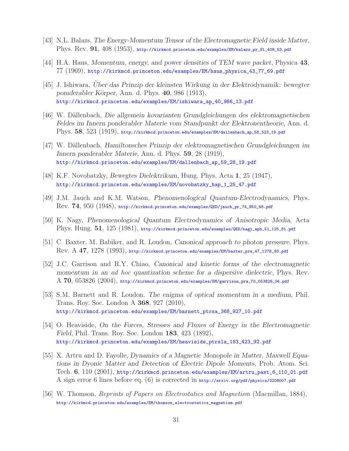- [43] N.L. Balazs, *The Energy-Momentum Tensor of the Electromagnetic Field inside Matter*, Phys. Rev. **91**, 408 (1953), http://kirkmcd.princeton.edu/examples/EM/balazs\_pr\_91\_408\_53.pdf
- [44] H.A. Haus, *Momentum, energy, and power densities of TEM wave packet*, Physica **43**, 77 (1969), http://kirkmcd.princeton.edu/examples/EM/haus\_physica\_43\_77\_69.pdf
- [45] J. Ishiwara, *Uber das Prinzip der kleinsten Wirkung in der Elektrodynamik: bewegter ¨ pomderabler K¨orper*, Ann. d. Phys. **40**, 986 (1913), http://kirkmcd.princeton.edu/examples/EM/ishiwara\_ap\_40\_986\_13.pdf
- [46] W. D¨allenbach, *Die allgemein kovarianten Grundgleichungen des elektromagnetischen Feldes im Innern ponderabler Materie vom Standpunkt der Elektronentheorie*, Ann. d. Phys. **58**, 523 (1919), http://kirkmcd.princeton.edu/examples/EM/dallenbach\_ap\_58\_523\_19.pdf
- [47] W. D¨allenbach, *Hamiltonsches Prinzip der elektromagnetischen Grundgleichungen im Innern ponderabler Materie*, Ann. d. Phys. **59**, 28 (1919), http://kirkmcd.princeton.edu/examples/EM/dallenbach\_ap\_59\_28\_19.pdf
- [48] K.F. Novobatzky, *Bewegtes Dielektrikum*, Hung. Phys. Acta **1**, 25 (1947), http://kirkmcd.princeton.edu/examples/EM/novobatzky\_hap\_1\_25\_47.pdf
- [49] J.M. Jauch and K.M. Watson, *Phenomenological Quantum-Electrodynamics*, Phys. Rev. **74**, 950 (1948), http://kirkmcd.princeton.edu/examples/QED/jauch\_pr\_74\_950\_48.pdf
- [50] K. Nagy, *Phenomenological Quantum Electrodynamics of Anisotropic Media*, Acta Phys. Hung. **51**, 125 (1981), http://kirkmcd.princeton.edu/examples/QED/nagy\_aph\_51\_125\_81.pdf
- [51] C. Baxter, M. Babiker, and R. Loudon, *Canonical approach to photon pressure*, Phys. Rev. A **47**, 1278 (1993), http://kirkmcd.princeton.edu/examples/EM/baxter\_pra\_47\_1278\_93.pdf
- [52] J.C. Garrison and R.Y. Chiao, *Canonical and kinetic forms of the electromagnetic momentum in an ad hoc quantization scheme for a dispersive dielectric*, Phys. Rev. A **70**, 053826 (2004), http://kirkmcd.princeton.edu/examples/EM/garrison\_pra\_70\_053826\_04.pdf
- [53] S.M. Barnett and R. Loudon, *The enigma of optical momentum in a medium*, Phil. Trans. Roy. Soc. London A **368**, 927 (2010), http://kirkmcd.princeton.edu/examples/EM/barnett\_ptrsa\_368\_927\_10.pdf
- [54] O. Heaviside, *On the Forces, Stresses and Fluxes of Energy in the Electromagnetic Field*, Phil. Trans. Roy. Soc. London **183**, 423 (1892), http://kirkmcd.princeton.edu/examples/EM/heaviside\_ptrsla\_183\_423\_92.pdf
- [55] X. Artru and D. Fayolle, *Dynamics of a Magnetic Monopole in Matter, Maxwell Equations in Dyonic Matter and Detection of Electric Dipole Moments*, Prob. Atom. Sci. Tech. **6**, 110 (2001), http://kirkmcd.princeton.edu/examples/EM/artru\_past\_6\_110\_01.pdf A sign error 6 lines before eq. (6) is corrected in http://arxiv.org/pdf/physics/0208007.pdf
- [56] W. Thomson, *Reprints of Papers on Electrostatics and Magnetism* (Macmillan, 1884), http://kirkmcd.princeton.edu/examples/EM/thomson\_electrostatics\_magnetism.pdf